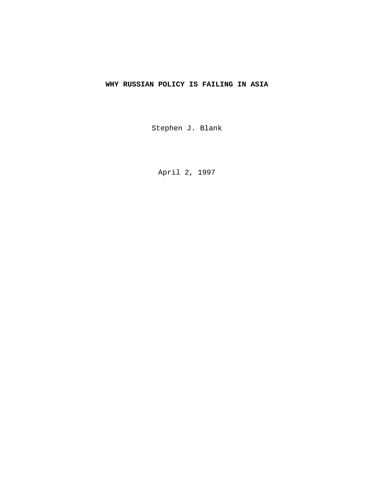# **WHY RUSSIAN POLICY IS FAILING IN ASIA**

Stephen J. Blank

April 2, 1997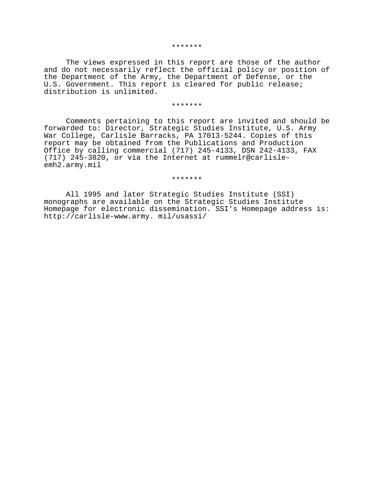#### \*\*\*\*\*\*\*

The views expressed in this report are those of the author and do not necessarily reflect the official policy or position of the Department of the Army, the Department of Defense, or the U.S. Government. This report is cleared for public release; distribution is unlimited.

#### \*\*\*\*\*\*\*

Comments pertaining to this report are invited and should be forwarded to: Director, Strategic Studies Institute, U.S. Army War College, Carlisle Barracks, PA 17013-5244. Copies of this report may be obtained from the Publications and Production Office by calling commercial (717) 245-4133, DSN 242-4133, FAX (717) 245-3820, or via the Internet at rummelr@carlisleemh2.army.mil

#### \*\*\*\*\*\*\*

All 1995 and later Strategic Studies Institute (SSI) monographs are available on the Strategic Studies Institute Homepage for electronic dissemination. SSI's Homepage address is: http://carlisle-www.army. mil/usassi/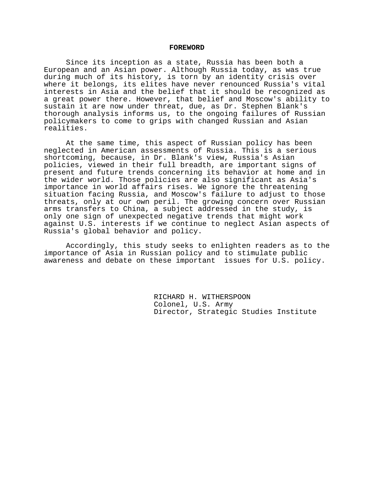#### **FOREWORD**

Since its inception as a state, Russia has been both a European and an Asian power. Although Russia today, as was true during much of its history, is torn by an identity crisis over where it belongs, its elites have never renounced Russia's vital interests in Asia and the belief that it should be recognized as a great power there. However, that belief and Moscow's ability to sustain it are now under threat, due, as Dr. Stephen Blank's thorough analysis informs us, to the ongoing failures of Russian policymakers to come to grips with changed Russian and Asian realities.

At the same time, this aspect of Russian policy has been neglected in American assessments of Russia. This is a serious shortcoming, because, in Dr. Blank's view, Russia's Asian policies, viewed in their full breadth, are important signs of present and future trends concerning its behavior at home and in the wider world. Those policies are also significant as Asia's importance in world affairs rises. We ignore the threatening situation facing Russia, and Moscow's failure to adjust to those threats, only at our own peril. The growing concern over Russian arms transfers to China, a subject addressed in the study, is only one sign of unexpected negative trends that might work against U.S. interests if we continue to neglect Asian aspects of Russia's global behavior and policy.

Accordingly, this study seeks to enlighten readers as to the importance of Asia in Russian policy and to stimulate public awareness and debate on these important issues for U.S. policy.

> RICHARD H. WITHERSPOON Colonel, U.S. Army Director, Strategic Studies Institute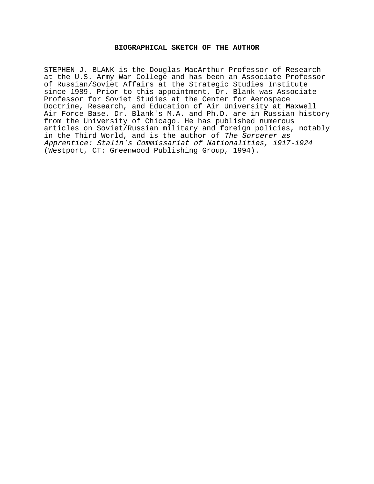# **BIOGRAPHICAL SKETCH OF THE AUTHOR**

STEPHEN J. BLANK is the Douglas MacArthur Professor of Research at the U.S. Army War College and has been an Associate Professor of Russian/Soviet Affairs at the Strategic Studies Institute since 1989. Prior to this appointment, Dr. Blank was Associate Professor for Soviet Studies at the Center for Aerospace Doctrine, Research, and Education of Air University at Maxwell Air Force Base. Dr. Blank's M.A. and Ph.D. are in Russian history from the University of Chicago. He has published numerous articles on Soviet/Russian military and foreign policies, notably in the Third World, and is the author of The Sorcerer as Apprentice: Stalin's Commissariat of Nationalities, 1917-1924 (Westport, CT: Greenwood Publishing Group, 1994).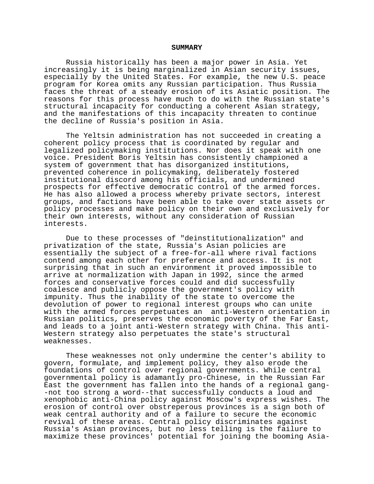#### **SUMMARY**

Russia historically has been a major power in Asia. Yet increasingly it is being marginalized in Asian security issues, especially by the United States. For example, the new U.S. peace program for Korea omits any Russian participation. Thus Russia faces the threat of a steady erosion of its Asiatic position. The reasons for this process have much to do with the Russian state's structural incapacity for conducting a coherent Asian strategy, and the manifestations of this incapacity threaten to continue the decline of Russia's position in Asia.

The Yeltsin administration has not succeeded in creating a coherent policy process that is coordinated by regular and legalized policymaking institutions. Nor does it speak with one voice. President Boris Yeltsin has consistently championed a system of government that has disorganized institutions, prevented coherence in policymaking, deliberately fostered institutional discord among his officials, and undermined prospects for effective democratic control of the armed forces. He has also allowed a process whereby private sectors, interest groups, and factions have been able to take over state assets or policy processes and make policy on their own and exclusively for their own interests, without any consideration of Russian interests.

Due to these processes of "deinstitutionalization" and privatization of the state, Russia's Asian policies are essentially the subject of a free-for-all where rival factions contend among each other for preference and access. It is not surprising that in such an environment it proved impossible to arrive at normalization with Japan in 1992, since the armed forces and conservative forces could and did successfully coalesce and publicly oppose the government's policy with impunity. Thus the inability of the state to overcome the devolution of power to regional interest groups who can unite with the armed forces perpetuates an anti-Western orientation in Russian politics, preserves the economic poverty of the Far East, and leads to a joint anti-Western strategy with China. This anti-Western strategy also perpetuates the state's structural weaknesses.

These weaknesses not only undermine the center's ability to govern, formulate, and implement policy, they also erode the foundations of control over regional governments. While central governmental policy is adamantly pro-Chinese, in the Russian Far East the government has fallen into the hands of a regional gang- -not too strong a word--that successfully conducts a loud and xenophobic anti-China policy against Moscow's express wishes. The erosion of control over obstreperous provinces is a sign both of weak central authority and of a failure to secure the economic revival of these areas. Central policy discriminates against Russia's Asian provinces, but no less telling is the failure to maximize these provinces' potential for joining the booming Asia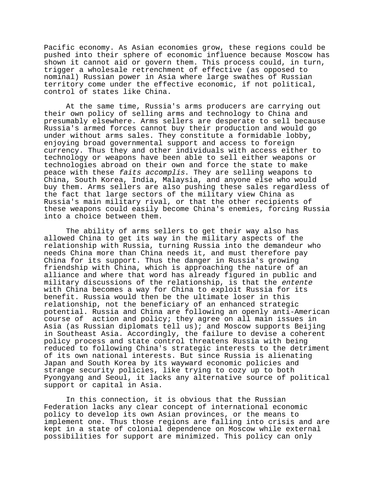Pacific economy. As Asian economies grow, these regions could be pushed into their sphere of economic influence because Moscow has shown it cannot aid or govern them. This process could, in turn, trigger a wholesale retrenchment of effective (as opposed to nominal) Russian power in Asia where large swathes of Russian territory come under the effective economic, if not political, control of states like China.

At the same time, Russia's arms producers are carrying out their own policy of selling arms and technology to China and presumably elsewhere. Arms sellers are desperate to sell because Russia's armed forces cannot buy their production and would go under without arms sales. They constitute a formidable lobby, enjoying broad governmental support and access to foreign currency. Thus they and other individuals with access either to technology or weapons have been able to sell either weapons or technologies abroad on their own and force the state to make peace with these faits accomplis. They are selling weapons to China, South Korea, India, Malaysia, and anyone else who would buy them. Arms sellers are also pushing these sales regardless of the fact that large sectors of the military view China as Russia's main military rival, or that the other recipients of these weapons could easily become China's enemies, forcing Russia into a choice between them.

The ability of arms sellers to get their way also has allowed China to get its way in the military aspects of the relationship with Russia, turning Russia into the demandeur who needs China more than China needs it, and must therefore pay China for its support. Thus the danger in Russia's growing friendship with China, which is approaching the nature of an alliance and where that word has already figured in public and military discussions of the relationship, is that the entente with China becomes a way for China to exploit Russia for its benefit. Russia would then be the ultimate loser in this relationship, not the beneficiary of an enhanced strategic potential. Russia and China are following an openly anti-American course of action and policy; they agree on all main issues in Asia (as Russian diplomats tell us); and Moscow supports Beijing in Southeast Asia. Accordingly, the failure to devise a coherent policy process and state control threatens Russia with being reduced to following China's strategic interests to the detriment of its own national interests. But since Russia is alienating Japan and South Korea by its wayward economic policies and strange security policies, like trying to cozy up to both Pyongyang and Seoul, it lacks any alternative source of political support or capital in Asia.

In this connection, it is obvious that the Russian Federation lacks any clear concept of international economic policy to develop its own Asian provinces, or the means to implement one. Thus those regions are falling into crisis and are kept in a state of colonial dependence on Moscow while external possibilities for support are minimized. This policy can only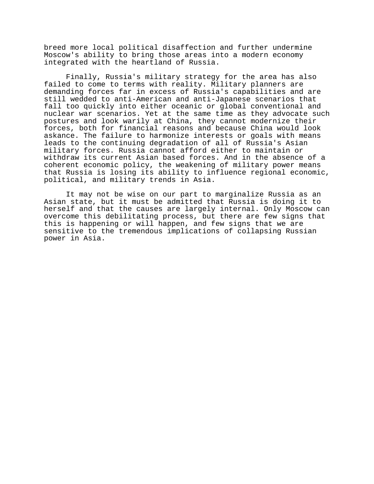breed more local political disaffection and further undermine Moscow's ability to bring those areas into a modern economy integrated with the heartland of Russia.

Finally, Russia's military strategy for the area has also failed to come to terms with reality. Military planners are demanding forces far in excess of Russia's capabilities and are still wedded to anti-American and anti-Japanese scenarios that fall too quickly into either oceanic or global conventional and nuclear war scenarios. Yet at the same time as they advocate such postures and look warily at China, they cannot modernize their forces, both for financial reasons and because China would look askance. The failure to harmonize interests or goals with means leads to the continuing degradation of all of Russia's Asian military forces. Russia cannot afford either to maintain or withdraw its current Asian based forces. And in the absence of a coherent economic policy, the weakening of military power means that Russia is losing its ability to influence regional economic, political, and military trends in Asia.

It may not be wise on our part to marginalize Russia as an Asian state, but it must be admitted that Russia is doing it to herself and that the causes are largely internal. Only Moscow can overcome this debilitating process, but there are few signs that this is happening or will happen, and few signs that we are sensitive to the tremendous implications of collapsing Russian power in Asia.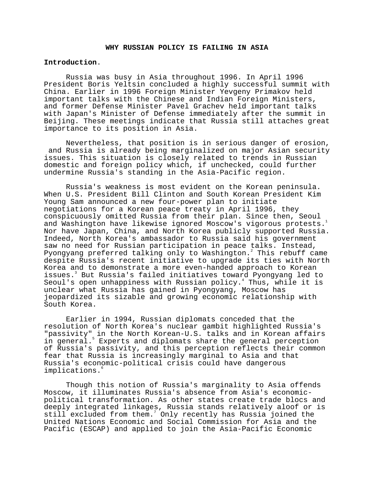# **WHY RUSSIAN POLICY IS FAILING IN ASIA**

## **Introduction**.

Russia was busy in Asia throughout 1996. In April 1996 President Boris Yeltsin concluded a highly successful summit with China. Earlier in 1996 Foreign Minister Yevgeny Primakov held important talks with the Chinese and Indian Foreign Ministers, and former Defense Minister Pavel Grachev held important talks with Japan's Minister of Defense immediately after the summit in Beijing. These meetings indicate that Russia still attaches great importance to its position in Asia.

Nevertheless, that position is in serious danger of erosion, and Russia is already being marginalized on major Asian security issues. This situation is closely related to trends in Russian domestic and foreign policy which, if unchecked, could further undermine Russia's standing in the Asia-Pacific region.

Russia's weakness is most evident on the Korean peninsula. When U.S. President Bill Clinton and South Korean President Kim Young Sam announced a new four-power plan to initiate negotiations for a Korean peace treaty in April 1996, they conspicuously omitted Russia from their plan. Since then, Seoul and Washington have likewise ignored Moscow's vigorous protests.<sup>1</sup> Nor have Japan, China, and North Korea publicly supported Russia. Indeed, North Korea's ambassador to Russia said his government saw no need for Russian participation in peace talks. Instead, Pyongyang preferred talking only to Washington. $^2$  This rebuff came despite Russia's recent initiative to upgrade its ties with North Korea and to demonstrate a more even-handed approach to Korean issues.<sup>3</sup> But Russia's failed initiatives toward Pyongyang led to Seoul's open unhappiness with Russian policy.<sup>4</sup> Thus, while it is unclear what Russia has gained in Pyongyang, Moscow has jeopardized its sizable and growing economic relationship with South Korea.

Earlier in 1994, Russian diplomats conceded that the resolution of North Korea's nuclear gambit highlighted Russia's "passivity" in the North Korean-U.S. talks and in Korean affairs in general.<sup>5</sup> Experts and diplomats share the general perception of Russia's passivity, and this perception reflects their common fear that Russia is increasingly marginal to Asia and that Russia's economic-political crisis could have dangerous implications.<sup>6</sup>

Though this notion of Russia's marginality to Asia offends Moscow, it illuminates Russia's absence from Asia's economicpolitical transformation. As other states create trade blocs and deeply integrated linkages, Russia stands relatively aloof or is  $\text{\tt still}\xspace$  excluded from them. $^7$  Only recently has Russia joined the United Nations Economic and Social Commission for Asia and the Pacific (ESCAP) and applied to join the Asia-Pacific Economic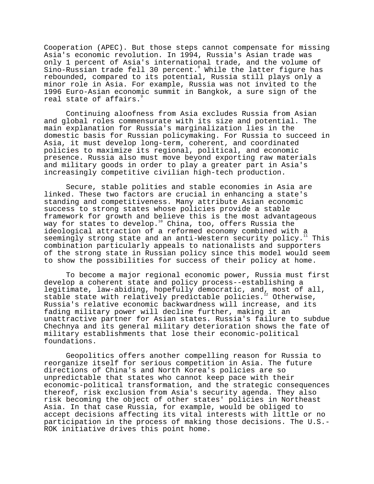Cooperation (APEC). But those steps cannot compensate for missing Asia's economic revolution. In 1994, Russia's Asian trade was only 1 percent of Asia's international trade, and the volume of Sino-Russian trade fell 30 percent. While the latter figure has rebounded, compared to its potential, Russia still plays only a minor role in Asia. For example, Russia was not invited to the 1996 Euro-Asian economic summit in Bangkok, a sure sign of the real state of affairs.<sup>9</sup>

Continuing aloofness from Asia excludes Russia from Asian and global roles commensurate with its size and potential. The main explanation for Russia's marginalization lies in the domestic basis for Russian policymaking. For Russia to succeed in Asia, it must develop long-term, coherent, and coordinated policies to maximize its regional, political, and economic presence. Russia also must move beyond exporting raw materials and military goods in order to play a greater part in Asia's increasingly competitive civilian high-tech production.

Secure, stable polities and stable economies in Asia are linked. These two factors are crucial in enhancing a state's standing and competitiveness. Many attribute Asian economic success to strong states whose policies provide a stable framework for growth and believe this is the most advantageous way for states to develop.<sup>10</sup> China, too, offers Russia the ideological attraction of a reformed economy combined with a seemingly strong state and an anti-Western security policy.<sup>11</sup> This combination particularly appeals to nationalists and supporters of the strong state in Russian policy since this model would seem to show the possibilities for success of their policy at home.

To become a major regional economic power, Russia must first develop a coherent state and policy process--establishing a legitimate, law-abiding, hopefully democratic, and, most of all, stable state with relatively predictable policies.<sup>12</sup> Otherwise, Russia's relative economic backwardness will increase, and its fading military power will decline further, making it an unattractive partner for Asian states. Russia's failure to subdue Chechnya and its general military deterioration shows the fate of military establishments that lose their economic-political foundations.

Geopolitics offers another compelling reason for Russia to reorganize itself for serious competition in Asia. The future directions of China's and North Korea's policies are so unpredictable that states who cannot keep pace with their economic-political transformation, and the strategic consequences thereof, risk exclusion from Asia's security agenda. They also risk becoming the object of other states' policies in Northeast Asia. In that case Russia, for example, would be obliged to accept decisions affecting its vital interests with little or no participation in the process of making those decisions. The U.S.- ROK initiative drives this point home.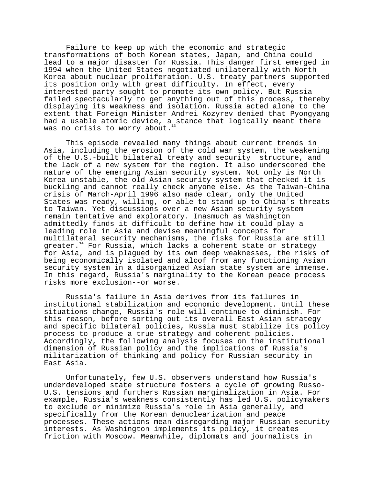Failure to keep up with the economic and strategic transformations of both Korean states, Japan, and China could lead to a major disaster for Russia. This danger first emerged in 1994 when the United States negotiated unilaterally with North Korea about nuclear proliferation. U.S. treaty partners supported its position only with great difficulty. In effect, every interested party sought to promote its own policy. But Russia failed spectacularly to get anything out of this process, thereby displaying its weakness and isolation. Russia acted alone to the extent that Foreign Minister Andrei Kozyrev denied that Pyongyang had a usable atomic device, a stance that logically meant there was no crisis to worry about.

This episode revealed many things about current trends in Asia, including the erosion of the cold war system, the weakening of the U.S.-built bilateral treaty and security structure, and the lack of a new system for the region. It also underscored the nature of the emerging Asian security system. Not only is North Korea unstable, the old Asian security system that checked it is buckling and cannot really check anyone else. As the Taiwan-China crisis of March-April 1996 also made clear, only the United States was ready, willing, or able to stand up to China's threats to Taiwan. Yet discussions over a new Asian security system remain tentative and exploratory. Inasmuch as Washington admittedly finds it difficult to define how it could play a leading role in Asia and devise meaningful concepts for multilateral security mechanisms, the risks for Russia are still greater. $14$  For Russia, which lacks a coherent state or strategy for Asia, and is plagued by its own deep weaknesses, the risks of being economically isolated and aloof from any functioning Asian security system in a disorganized Asian state system are immense. In this regard, Russia's marginality to the Korean peace process risks more exclusion--or worse.

Russia's failure in Asia derives from its failures in institutional stabilization and economic development. Until these situations change, Russia's role will continue to diminish. For this reason, before sorting out its overall East Asian strategy and specific bilateral policies, Russia must stabilize its policy process to produce a true strategy and coherent policies. Accordingly, the following analysis focuses on the institutional dimension of Russian policy and the implications of Russia's militarization of thinking and policy for Russian security in East Asia.

Unfortunately, few U.S. observers understand how Russia's underdeveloped state structure fosters a cycle of growing Russo-U.S. tensions and furthers Russian marginalization in Asia. For example, Russia's weakness consistently has led U.S. policymakers to exclude or minimize Russia's role in Asia generally, and specifically from the Korean denuclearization and peace processes. These actions mean disregarding major Russian security interests. As Washington implements its policy, it creates friction with Moscow. Meanwhile, diplomats and journalists in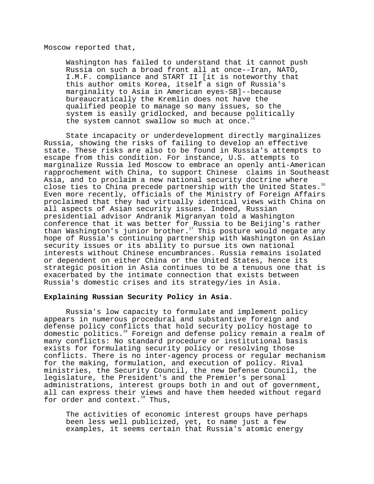Moscow reported that,

Washington has failed to understand that it cannot push Russia on such a broad front all at once--Iran, NATO, I.M.F. compliance and START II [it is noteworthy that this author omits Korea, itself a sign of Russia's marginality to Asia in American eyes-SB]--because bureaucratically the Kremlin does not have the qualified people to manage so many issues, so the system is easily gridlocked, and because politically the system cannot swallow so much at once.<sup>1</sup>

State incapacity or underdevelopment directly marginalizes Russia, showing the risks of failing to develop an effective state. These risks are also to be found in Russia's attempts to escape from this condition. For instance, U.S. attempts to marginalize Russia led Moscow to embrace an openly anti-American rapprochement with China, to support Chinese claims in Southeast Asia, and to proclaim a new national security doctrine where close ties to China precede partnership with the United States. Even more recently, officials of the Ministry of Foreign Affairs proclaimed that they had virtually identical views with China on all aspects of Asian security issues. Indeed, Russian presidential advisor Andranik Migranyan told a Washington conference that it was better for Russia to be Beijing's rather than Washington's junior brother.<sup>17</sup> This posture would negate any hope of Russia's continuing partnership with Washington on Asian security issues or its ability to pursue its own national interests without Chinese encumbrances. Russia remains isolated or dependent on either China or the United States, hence its strategic position in Asia continues to be a tenuous one that is exacerbated by the intimate connection that exists between Russia's domestic crises and its strategy/ies in Asia.

### **Explaining Russian Security Policy in Asia**.

Russia's low capacity to formulate and implement policy appears in numerous procedural and substantive foreign and defense policy conflicts that hold security policy hostage to domestic politics.18 Foreign and defense policy remain a realm of many conflicts: No standard procedure or institutional basis exists for formulating security policy or resolving those conflicts. There is no inter-agency process or regular mechanism for the making, formulation, and execution of policy. Rival ministries, the Security Council, the new Defense Council, the legislature, the President's and the Premier's personal administrations, interest groups both in and out of government, all can express their views and have them heeded without regard for order and context.<sup>19</sup> Thus,

The activities of economic interest groups have perhaps been less well publicized, yet, to name just a few examples, it seems certain that Russia's atomic energy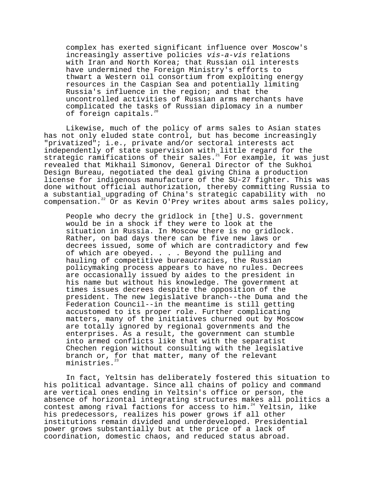complex has exerted significant influence over Moscow's increasingly assertive policies vis-a-vis relations with Iran and North Korea; that Russian oil interests have undermined the Foreign Ministry's efforts to thwart a Western oil consortium from exploiting energy resources in the Caspian Sea and potentially limiting Russia's influence in the region; and that the uncontrolled activities of Russian arms merchants have complicated the tasks of Russian diplomacy in a number of foreign capitals.<sup>2</sup>

Likewise, much of the policy of arms sales to Asian states has not only eluded state control, but has become increasingly "privatized"; i.e., private and/or sectoral interests act independently of state supervision with little regard for the strategic ramifications of their sales.<sup>21</sup> For example, it was just revealed that Mikhail Simonov, General Director of the Sukhoi Design Bureau, negotiated the deal giving China a production license for indigenous manufacture of the SU-27 fighter. This was done without official authorization, thereby committing Russia to a substantial upgrading of China's strategic capability with no compensation.<sup>22</sup> Or as Kevin O'Prey writes about arms sales policy,

People who decry the gridlock in [the] U.S. government would be in a shock if they were to look at the situation in Russia. In Moscow there is no gridlock. Rather, on bad days there can be five new laws or decrees issued, some of which are contradictory and few of which are obeyed. . . . Beyond the pulling and hauling of competitive bureaucracies, the Russian policymaking process appears to have no rules. Decrees are occasionally issued by aides to the president in his name but without his knowledge. The government at times issues decrees despite the opposition of the president. The new legislative branch--the Duma and the Federation Council--in the meantime is still getting accustomed to its proper role. Further complicating matters, many of the initiatives churned out by Moscow are totally ignored by regional governments and the enterprises. As a result, the government can stumble into armed conflicts like that with the separatist Chechen region without consulting with the legislative branch or, for that matter, many of the relevant ministries.<sup>2</sup>

In fact, Yeltsin has deliberately fostered this situation to his political advantage. Since all chains of policy and command are vertical ones ending in Yeltsin's office or person, the absence of horizontal integrating structures makes all politics a contest among rival factions for access to him.<sup>24</sup> Yeltsin, like his predecessors, realizes his power grows if all other institutions remain divided and underdeveloped. Presidential power grows substantially but at the price of a lack of coordination, domestic chaos, and reduced status abroad.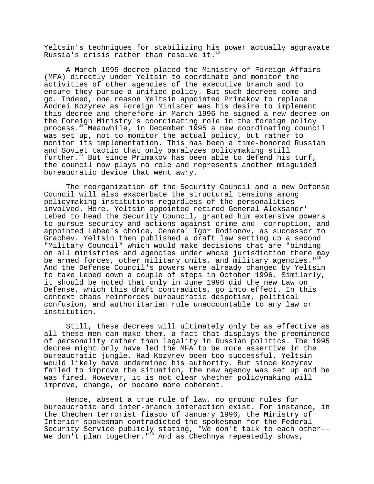Yeltsin's techniques for stabilizing his power actually aggravate Russia's crisis rather than resolve it.<sup>2</sup>

A March 1995 decree placed the Ministry of Foreign Affairs (MFA) directly under Yeltsin to coordinate and monitor the activities of other agencies of the executive branch and to ensure they pursue a unified policy. But such decrees come and go. Indeed, one reason Yeltsin appointed Primakov to replace Andrei Kozyrev as Foreign Minister was his desire to implement this decree and therefore in March 1996 he signed a new decree on the Foreign Ministry's coordinating role in the foreign policy process.26 Meanwhile, in December 1995 a new coordinating council was set up, not to monitor the actual policy, but rather to monitor its implementation. This has been a time-honored Russian and Soviet tactic that only paralyzes policymaking still further. $27$  But since Primakov has been able to defend his turf, the council now plays no role and represents another misguided bureaucratic device that went awry.

The reorganization of the Security Council and a new Defense Council will also exacerbate the structural tensions among policymaking institutions regardless of the personalities involved. Here, Yeltsin appointed retired General Aleksandr' Lebed to head the Security Council, granted him extensive powers to pursue security and actions against crime and corruption, and appointed Lebed's choice, General Igor Rodionov, as successor to Grachev. Yeltsin then published a draft law setting up a second "Military Council" which would make decisions that are "binding on all ministries and agencies under whose jurisdiction there may be armed forces, other military units, and military agencies." $28$ And the Defense Council's powers were already changed by Yeltsin to take Lebed down a couple of steps in October 1996. Similarly, it should be noted that only in June 1996 did the new Law on Defense, which this draft contradicts, go into effect. In this context chaos reinforces bureaucratic despotism, political confusion, and authoritarian rule unaccountable to any law or institution.

Still, these decrees will ultimately only be as effective as all these men can make them, a fact that displays the preeminence of personality rather than legality in Russian politics. The 1995 decree might only have led the MFA to be more assertive in the bureaucratic jungle. Had Kozyrev been too successful, Yeltsin would likely have undermined his authority. But since Kozyrev failed to improve the situation, the new agency was set up and he was fired. However, it is not clear whether policymaking will improve, change, or become more coherent.

Hence, absent a true rule of law, no ground rules for bureaucratic and inter-branch interaction exist. For instance, in the Chechen terrorist fiasco of January 1996, the Ministry of Interior spokesman contradicted the spokesman for the Federal Security Service publicly stating, "We don't talk to each other-- We don't plan together."<sup>29</sup> And as Chechnya repeatedly shows,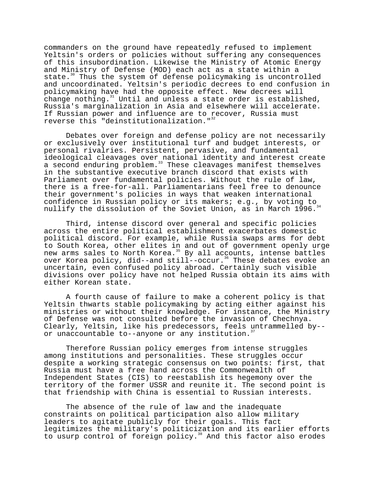commanders on the ground have repeatedly refused to implement Yeltsin's orders or policies without suffering any consequences of this insubordination. Likewise the Ministry of Atomic Energy and Ministry of Defense (MOD) each act as a state within a state.<sup>30</sup> Thus the system of defense policymaking is uncontrolled and uncoordinated. Yeltsin's periodic decrees to end confusion in policymaking have had the opposite effect. New decrees will change nothing. $31$  Until and unless a state order is established, Russia's marginalization in Asia and elsewhere will accelerate. If Russian power and influence are to recover, Russia must reverse this "deinstitutionalization."<sup>3</sup>

Debates over foreign and defense policy are not necessarily or exclusively over institutional turf and budget interests, or personal rivalries. Persistent, pervasive, and fundamental ideological cleavages over national identity and interest create a second enduring problem.<sup>33</sup> These cleavages manifest themselves in the substantive executive branch discord that exists with Parliament over fundamental policies. Without the rule of law, there is a free-for-all. Parliamentarians feel free to denounce their government's policies in ways that weaken international confidence in Russian policy or its makers; e.g., by voting to nullify the dissolution of the Soviet Union, as in March 1996.<sup>34</sup>

Third, intense discord over general and specific policies across the entire political establishment exacerbates domestic political discord. For example, while Russia swaps arms for debt to South Korea, other elites in and out of government openly urge new arms sales to North Korea.<sup>35</sup> By all accounts, intense battles over Korea policy, did--and still--occur.<sup>36</sup> These debates evoke an uncertain, even confused policy abroad. Certainly such visible divisions over policy have not helped Russia obtain its aims with either Korean state.

A fourth cause of failure to make a coherent policy is that Yeltsin thwarts stable policymaking by acting either against his ministries or without their knowledge. For instance, the Ministry of Defense was not consulted before the invasion of Chechnya. Clearly, Yeltsin, like his predecessors, feels untrammelled by- or unaccountable to--anyone or any institution.<sup>3</sup>

Therefore Russian policy emerges from intense struggles among institutions and personalities. These struggles occur despite a working strategic consensus on two points: first, that Russia must have a free hand across the Commonwealth of Independent States (CIS) to reestablish its hegemony over the territory of the former USSR and reunite it. The second point is that friendship with China is essential to Russian interests.

The absence of the rule of law and the inadequate constraints on political participation also allow military leaders to agitate publicly for their goals. This fact legitimizes the military's politicization and its earlier efforts to usurp control of foreign policy.<sup>38</sup> And this factor also erodes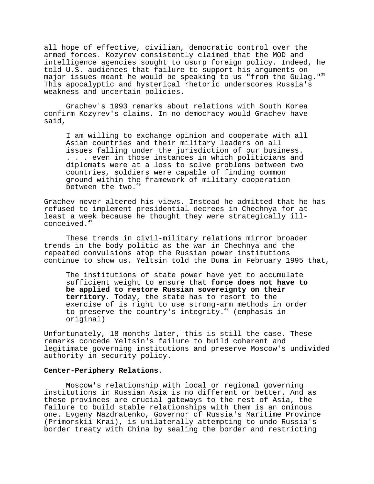all hope of effective, civilian, democratic control over the armed forces. Kozyrev consistently claimed that the MOD and intelligence agencies sought to usurp foreign policy. Indeed, he told U.S. audiences that failure to support his arguments on major issues meant he would be speaking to us "from the Gulag."<sup>39</sup> This apocalyptic and hysterical rhetoric underscores Russia's weakness and uncertain policies.

Grachev's 1993 remarks about relations with South Korea confirm Kozyrev's claims. In no democracy would Grachev have said,

I am willing to exchange opinion and cooperate with all Asian countries and their military leaders on all issues falling under the jurisdiction of our business. . . . even in those instances in which politicians and diplomats were at a loss to solve problems between two countries, soldiers were capable of finding common ground within the framework of military cooperation between the two.<sup>40</sup>

Grachev never altered his views. Instead he admitted that he has refused to implement presidential decrees in Chechnya for at least a week because he thought they were strategically illconceived.<sup>4</sup>

These trends in civil-military relations mirror broader trends in the body politic as the war in Chechnya and the repeated convulsions atop the Russian power institutions continue to show us. Yeltsin told the Duma in February 1995 that,

The institutions of state power have yet to accumulate sufficient weight to ensure that **force does not have to be applied to restore Russian sovereignty on their territory**. Today, the state has to resort to the exercise of is right to use strong-arm methods in order to preserve the country's integrity.<sup>42</sup> (emphasis in original)

Unfortunately, 18 months later, this is still the case. These remarks concede Yeltsin's failure to build coherent and legitimate governing institutions and preserve Moscow's undivided authority in security policy.

# **Center-Periphery Relations**.

Moscow's relationship with local or regional governing institutions in Russian Asia is no different or better. And as these provinces are crucial gateways to the rest of Asia, the failure to build stable relationships with them is an ominous one. Evgeny Nazdratenko, Governor of Russia's Maritime Province (Primorskii Krai), is unilaterally attempting to undo Russia's border treaty with China by sealing the border and restricting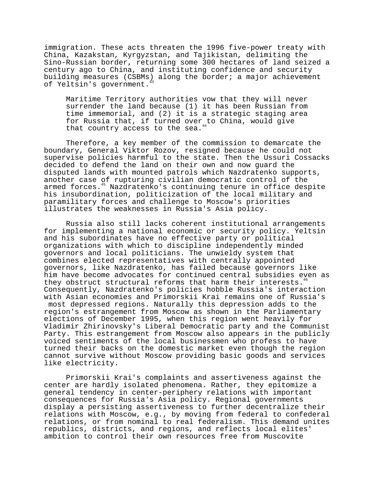immigration. These acts threaten the 1996 five-power treaty with China, Kazakstan, Kyrgyzstan, and Tajikistan, delimiting the Sino-Russian border, returning some 300 hectares of land seized a century ago to China, and instituting confidence and security building measures (CSBMs) along the border; a major achievement of Yeltsin's government.

Maritime Territory authorities vow that they will never surrender the land because (1) it has been Russian from time immemorial, and (2) it is a strategic staging area for Russia that, if turned over to China, would give that country access to the sea.

Therefore, a key member of the commission to demarcate the boundary, General Viktor Rozov, resigned because he could not supervise policies harmful to the state. Then the Ussuri Cossacks decided to defend the land on their own and now guard the disputed lands with mounted patrols which Nazdratenko supports, another case of rupturing civilian democratic control of the armed forces.<sup>45</sup> Nazdratenko's continuing tenure in office despite his insubordination, politicization of the local military and paramilitary forces and challenge to Moscow's priorities illustrates the weaknesses in Russia's Asia policy.

Russia also still lacks coherent institutional arrangements for implementing a national economic or security policy. Yeltsin and his subordinates have no effective party or political organizations with which to discipline independently minded governors and local politicians. The unwieldy system that combines elected representatives with centrally appointed governors, like Nazdratenko, has failed because governors like him have become advocates for continued central subsidies even as they obstruct structural reforms that harm their interests.<sup>4</sup> Consequently, Nazdratenko's policies hobble Russia's interaction with Asian economies and Primorskii Krai remains one of Russia's most depressed regions. Naturally this depression adds to the region's estrangement from Moscow as shown in the Parliamentary elections of December 1995, when this region went heavily for Vladimir Zhirinovsky's Liberal Democratic party and the Communist Party. This estrangement from Moscow also appears in the publicly voiced sentiments of the local businessmen who profess to have turned their backs on the domestic market even though the region cannot survive without Moscow providing basic goods and services like electricity.

Primorskii Krai's complaints and assertiveness against the center are hardly isolated phenomena. Rather, they epitomize a general tendency in center-periphery relations with important consequences for Russia's Asia policy. Regional governments display a persisting assertiveness to further decentralize their relations with Moscow, e.g., by moving from federal to confederal relations, or from nominal to real federalism. This demand unites republics, districts, and regions, and reflects local elites' ambition to control their own resources free from Muscovite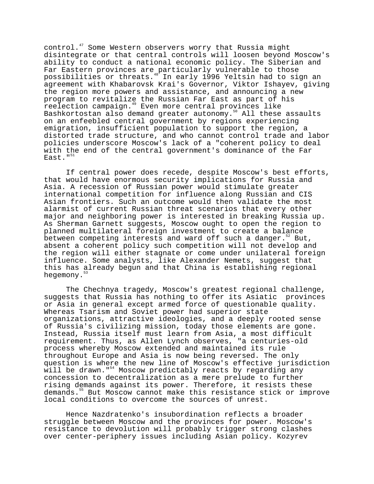control.<sup>47</sup> Some Western observers worry that Russia might disintegrate or that central controls will loosen beyond Moscow's ability to conduct a national economic policy. The Siberian and Far Eastern provinces are particularly vulnerable to those possibilities or threats.48 In early 1996 Yeltsin had to sign an agreement with Khabarovsk Krai's Governor, Viktor Ishayev, giving the region more powers and assistance, and announcing a new program to revitalize the Russian Far East as part of his reelection campaign.49 Even more central provinces like Bashkortostan also demand greater autonomy.<sup>50</sup> All these assaults on an enfeebled central government by regions experiencing emigration, insufficient population to support the region, a distorted trade structure, and who cannot control trade and labor policies underscore Moscow's lack of a "coherent policy to deal with the end of the central government's dominance of the Far  $East.$ " $51$ 

If central power does recede, despite Moscow's best efforts, that would have enormous security implications for Russia and Asia. A recession of Russian power would stimulate greater international competition for influence along Russian and CIS Asian frontiers. Such an outcome would then validate the most alarmist of current Russian threat scenarios that every other major and neighboring power is interested in breaking Russia up. As Sherman Garnett suggests, Moscow ought to open the region to planned multilateral foreign investment to create a balance between competing interests and ward off such a danger. $52$  But, absent a coherent policy such competition will not develop and the region will either stagnate or come under unilateral foreign influence. Some analysts, like Alexander Nemets, suggest that this has already begun and that China is establishing regional hegemony.<sup>5</sup>

The Chechnya tragedy, Moscow's greatest regional challenge, suggests that Russia has nothing to offer its Asiatic provinces or Asia in general except armed force of questionable quality. Whereas Tsarism and Soviet power had superior state organizations, attractive ideologies, and a deeply rooted sense of Russia's civilizing mission, today those elements are gone. Instead, Russia itself must learn from Asia, a most difficult requirement. Thus, as Allen Lynch observes, "a centuries-old process whereby Moscow extended and maintained its rule throughout Europe and Asia is now being reversed. The only question is where the new line of Moscow's effective jurisdiction will be drawn."<sup>54</sup> Moscow predictably reacts by regarding any concession to decentralization as a mere prelude to further rising demands against its power. Therefore, it resists these demands.<sup>55</sup> But Moscow cannot make this resistance stick or improve local conditions to overcome the sources of unrest.

Hence Nazdratenko's insubordination reflects a broader struggle between Moscow and the provinces for power. Moscow's resistance to devolution will probably trigger strong clashes over center-periphery issues including Asian policy. Kozyrev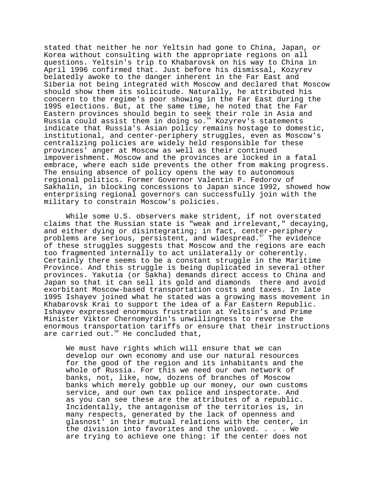stated that neither he nor Yeltsin had gone to China, Japan, or Korea without consulting with the appropriate regions on all questions. Yeltsin's trip to Khabarovsk on his way to China in April 1996 confirmed that. Just before his dismissal, Kozyrev belatedly awoke to the danger inherent in the Far East and Siberia not being integrated with Moscow and declared that Moscow should show them its solicitude. Naturally, he attributed his concern to the regime's poor showing in the Far East during the 1995 elections. But, at the same time, he noted that the Far Eastern provinces should begin to seek their role in Asia and Russia could assist them in doing so.<sup>56</sup> Kozyrev's statements indicate that Russia's Asian policy remains hostage to domestic, institutional, and center-periphery struggles, even as Moscow's centralizing policies are widely held responsible for these provinces' anger at Moscow as well as their continued impoverishment. Moscow and the provinces are locked in a fatal embrace, where each side prevents the other from making progress. The ensuing absence of policy opens the way to autonomous regional politics. Former Governor Valentin P. Fedorov of Sakhalin, in blocking concessions to Japan since 1992, showed how enterprising regional governors can successfully join with the military to constrain Moscow's policies.

While some U.S. observers make strident, if not overstated claims that the Russian state is "weak and irrelevant," decaying, and either dying or disintegrating; in fact, center-periphery problems are serious, persistent, and widespread.<sup>57</sup> The evidence of these struggles suggests that Moscow and the regions are each too fragmented internally to act unilaterally or coherently. Certainly there seems to be a constant struggle in the Maritime Province. And this struggle is being duplicated in several other provinces. Yakutia (or Sakha) demands direct access to China and Japan so that it can sell its gold and diamonds there and avoid exorbitant Moscow-based transportation costs and taxes. In late 1995 Ishayev joined what he stated was a growing mass movement in Khabarovsk Krai to support the idea of a Far Eastern Republic. Ishayev expressed enormous frustration at Yeltsin's and Prime Minister Viktor Chernomyrdin's unwillingness to reverse the enormous transportation tariffs or ensure that their instructions are carried out.<sup>58</sup> He concluded that,

We must have rights which will ensure that we can develop our own economy and use our natural resources for the good of the region and its inhabitants and the whole of Russia. For this we need our own network of banks, not, like, now, dozens of branches of Moscow banks which merely gobble up our money, our own customs service, and our own tax police and inspectorate. And as you can see these are the attributes of a republic. Incidentally, the antagonism of the territories is, in many respects, generated by the lack of openness and glasnost' in their mutual relations with the center, in the division into favorites and the unloved. . . . We are trying to achieve one thing: if the center does not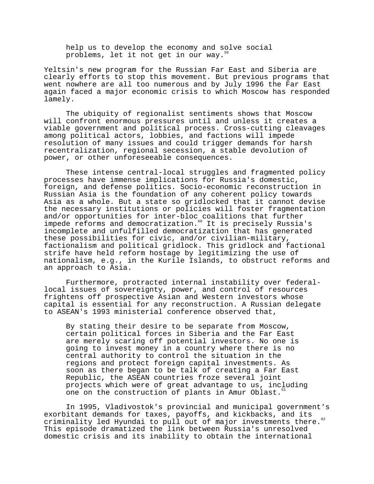help us to develop the economy and solve social problems, let it not get in our way.<sup>5</sup>

Yeltsin's new program for the Russian Far East and Siberia are clearly efforts to stop this movement. But previous programs that went nowhere are all too numerous and by July 1996 the Far East again faced a major economic crisis to which Moscow has responded lamely.

The ubiquity of regionalist sentiments shows that Moscow will confront enormous pressures until and unless it creates a viable government and political process. Cross-cutting cleavages among political actors, lobbies, and factions will impede resolution of many issues and could trigger demands for harsh recentralization, regional secession, a stable devolution of power, or other unforeseeable consequences.

These intense central-local struggles and fragmented policy processes have immense implications for Russia's domestic, foreign, and defense politics. Socio-economic reconstruction in Russian Asia is the foundation of any coherent policy towards Asia as a whole. But a state so gridlocked that it cannot devise the necessary institutions or policies will foster fragmentation and/or opportunities for inter-bloc coalitions that further impede reforms and democratization.<sup>60</sup> It is precisely Russia's incomplete and unfulfilled democratization that has generated these possibilities for civic, and/or civilian-military, factionalism and political gridlock. This gridlock and factional strife have held reform hostage by legitimizing the use of nationalism, e.g., in the Kurile Islands, to obstruct reforms and an approach to Asia.

Furthermore, protracted internal instability over federallocal issues of sovereignty, power, and control of resources frightens off prospective Asian and Western investors whose capital is essential for any reconstruction. A Russian delegate to ASEAN's 1993 ministerial conference observed that,

By stating their desire to be separate from Moscow, certain political forces in Siberia and the Far East are merely scaring off potential investors. No one is going to invest money in a country where there is no central authority to control the situation in the regions and protect foreign capital investments. As soon as there began to be talk of creating a Far East Republic, the ASEAN countries froze several joint projects which were of great advantage to us, including one on the construction of plants in Amur Oblast.

In 1995, Vladivostok's provincial and municipal government's exorbitant demands for taxes, payoffs, and kickbacks, and its criminality led Hyundai to pull out of major investments there.<sup>62</sup> This episode dramatized the link between Russia's unresolved domestic crisis and its inability to obtain the international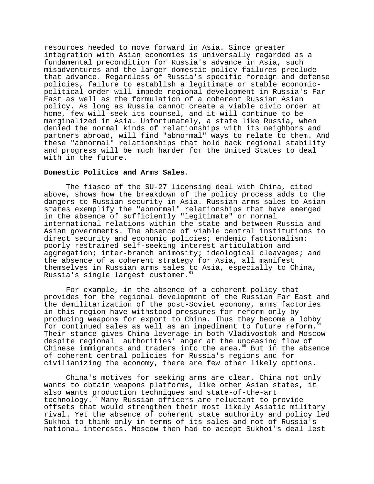resources needed to move forward in Asia. Since greater integration with Asian economies is universally regarded as a fundamental precondition for Russia's advance in Asia, such misadventures and the larger domestic policy failures preclude that advance. Regardless of Russia's specific foreign and defense policies, failure to establish a legitimate or stable economicpolitical order will impede regional development in Russia's Far East as well as the formulation of a coherent Russian Asian policy. As long as Russia cannot create a viable civic order at home, few will seek its counsel, and it will continue to be marginalized in Asia. Unfortunately, a state like Russia, when denied the normal kinds of relationships with its neighbors and partners abroad, will find "abnormal" ways to relate to them. And these "abnormal" relationships that hold back regional stability and progress will be much harder for the United States to deal with in the future.

### **Domestic Politics and Arms Sales**.

The fiasco of the SU-27 licensing deal with China, cited above, shows how the breakdown of the policy process adds to the dangers to Russian security in Asia. Russian arms sales to Asian states exemplify the "abnormal" relationships that have emerged in the absence of sufficiently "legitimate" or normal international relations within the state and between Russia and Asian governments. The absence of viable central institutions to direct security and economic policies; endemic factionalism; poorly restrained self-seeking interest articulation and aggregation; inter-branch animosity; ideological cleavages; and the absence of a coherent strategy for Asia, all manifest themselves in Russian arms sales to Asia, especially to China, Russia's single largest customer.<sup>6</sup>

For example, in the absence of a coherent policy that provides for the regional development of the Russian Far East and the demilitarization of the post-Soviet economy, arms factories in this region have withstood pressures for reform only by producing weapons for export to China. Thus they become a lobby for continued sales as well as an impediment to future reform. Their stance gives China leverage in both Vladivostok and Moscow despite regional authorities' anger at the unceasing flow of Chinese immigrants and traders into the area. $^{65}$  But in the absence of coherent central policies for Russia's regions and for civilianizing the economy, there are few other likely options.

China's motives for seeking arms are clear. China not only wants to obtain weapons platforms, like other Asian states, it also wants production techniques and state-of-the-art technology.<sup>66</sup> Many Russian officers are reluctant to provide offsets that would strengthen their most likely Asiatic military rival. Yet the absence of coherent state authority and policy led Sukhoi to think only in terms of its sales and not of Russia's national interests. Moscow then had to accept Sukhoi's deal lest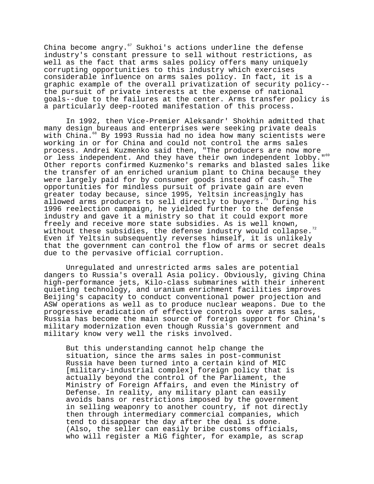China become angry. $67$  Sukhoi's actions underline the defense industry's constant pressure to sell without restrictions, as well as the fact that arms sales policy offers many uniquely corrupting opportunities to this industry which exercises considerable influence on arms sales policy. In fact, it is a graphic example of the overall privatization of security policy- the pursuit of private interests at the expense of national goals--due to the failures at the center. Arms transfer policy is a particularly deep-rooted manifestation of this process.

In 1992, then Vice-Premier Aleksandr' Shokhin admitted that many design bureaus and enterprises were seeking private deals with China.<sup>68</sup> By 1993 Russia had no idea how many scientists were working in or for China and could not control the arms sales process. Andrei Kuzmenko said then, "The producers are now more or less independent. And they have their own independent lobby."<sup>69</sup> Other reports confirmed Kuzmenko's remarks and blasted sales like the transfer of an enriched uranium plant to China because they were largely paid for by consumer goods instead of cash.<sup>70</sup> The opportunities for mindless pursuit of private gain are even greater today because, since 1995, Yeltsin increasingly has allowed arms producers to sell directly to buyers.<sup> $1$ </sup> During his 1996 reelection campaign, he yielded further to the defense industry and gave it a ministry so that it could export more freely and receive more state subsidies. As is well known, without these subsidies, the defense industry would collapse.<sup>72</sup> Even if Yeltsin subsequently reverses himself, it is unlikely that the government can control the flow of arms or secret deals due to the pervasive official corruption.

Unregulated and unrestricted arms sales are potential dangers to Russia's overall Asia policy. Obviously, giving China high-performance jets, Kilo-class submarines with their inherent quieting technology, and uranium enrichment facilities improves Beijing's capacity to conduct conventional power projection and ASW operations as well as to produce nuclear weapons. Due to the progressive eradication of effective controls over arms sales, Russia has become the main source of foreign support for China's military modernization even though Russia's government and military know very well the risks involved.

But this understanding cannot help change the situation, since the arms sales in post-communist Russia have been turned into a certain kind of MIC [military-industrial complex] foreign policy that is actually beyond the control of the Parliament, the Ministry of Foreign Affairs, and even the Ministry of Defense. In reality, any military plant can easily avoids bans or restrictions imposed by the government in selling weaponry to another country, if not directly then through intermediary commercial companies, which tend to disappear the day after the deal is done. (Also, the seller can easily bribe customs officials, who will register a MiG fighter, for example, as scrap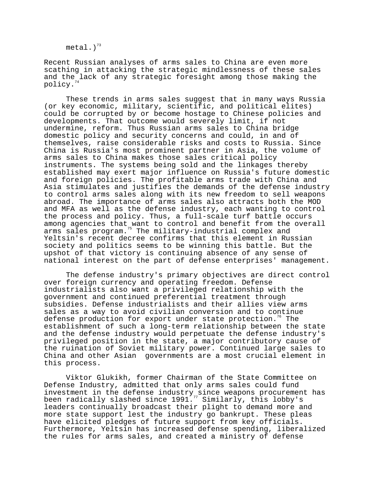metal. $)^{73}$ 

Recent Russian analyses of arms sales to China are even more scathing in attacking the strategic mindlessness of these sales and the lack of any strategic foresight among those making the policy.

These trends in arms sales suggest that in many ways Russia (or key economic, military, scientific, and political elites) could be corrupted by or become hostage to Chinese policies and developments. That outcome would severely limit, if not undermine, reform. Thus Russian arms sales to China bridge domestic policy and security concerns and could, in and of themselves, raise considerable risks and costs to Russia. Since China is Russia's most prominent partner in Asia, the volume of arms sales to China makes those sales critical policy instruments. The systems being sold and the linkages thereby established may exert major influence on Russia's future domestic and foreign policies. The profitable arms trade with China and Asia stimulates and justifies the demands of the defense industry to control arms sales along with its new freedom to sell weapons abroad. The importance of arms sales also attracts both the MOD and MFA as well as the defense industry, each wanting to control the process and policy. Thus, a full-scale turf battle occurs among agencies that want to control and benefit from the overall arms sales program.<sup>75</sup> The military-industrial complex and Yeltsin's recent decree confirms that this element in Russian society and politics seems to be winning this battle. But the upshot of that victory is continuing absence of any sense of national interest on the part of defense enterprises' management.

The defense industry's primary objectives are direct control over foreign currency and operating freedom. Defense industrialists also want a privileged relationship with the government and continued preferential treatment through subsidies. Defense industrialists and their allies view arms sales as a way to avoid civilian conversion and to continue defense production for export under state protection.<sup>76</sup> The establishment of such a long-term relationship between the state and the defense industry would perpetuate the defense industry's privileged position in the state, a major contributory cause of the ruination of Soviet military power. Continued large sales to China and other Asian governments are a most crucial element in this process.

Viktor Glukikh, former Chairman of the State Committee on Defense Industry, admitted that only arms sales could fund investment in the defense industry since weapons procurement has been radically slashed since 1991. $^{77}$  Similarly, this lobby's leaders continually broadcast their plight to demand more and more state support lest the industry go bankrupt. These pleas have elicited pledges of future support from key officials. Furthermore, Yeltsin has increased defense spending, liberalized the rules for arms sales, and created a ministry of defense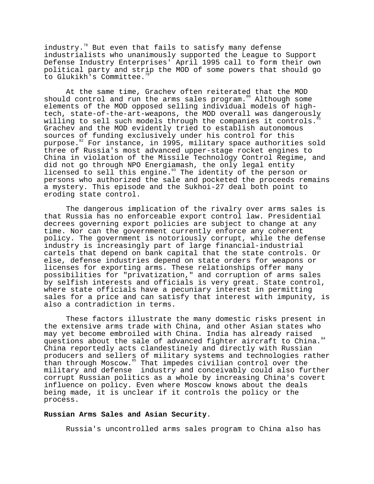industry.<sup>78</sup> But even that fails to satisfy many defense industrialists who unanimously supported the League to Support Defense Industry Enterprises' April 1995 call to form their own political party and strip the MOD of some powers that should go to Glukikh's Committee.

At the same time, Grachev often reiterated that the MOD should control and run the arms sales program.<sup>80</sup> Although some elements of the MOD opposed selling individual models of hightech, state-of-the-art-weapons, the MOD overall was dangerously willing to sell such models through the companies it controls. Grachev and the MOD evidently tried to establish autonomous sources of funding exclusively under his control for this purpose.<sup>82</sup> For instance, in 1995, military space authorities sold three of Russia's most advanced upper-stage rocket engines to China in violation of the Missile Technology Control Regime, and did not go through NPO Energiamash, the only legal entity licensed to sell this engine.<sup>83</sup> The identity of the person or persons who authorized the sale and pocketed the proceeds remains a mystery. This episode and the Sukhoi-27 deal both point to eroding state control.

The dangerous implication of the rivalry over arms sales is that Russia has no enforceable export control law. Presidential decrees governing export policies are subject to change at any time. Nor can the government currently enforce any coherent policy. The government is notoriously corrupt, while the defense industry is increasingly part of large financial-industrial cartels that depend on bank capital that the state controls. Or else, defense industries depend on state orders for weapons or licenses for exporting arms. These relationships offer many possibilities for "privatization," and corruption of arms sales by selfish interests and officials is very great. State control, where state officials have a pecuniary interest in permitting sales for a price and can satisfy that interest with impunity, is also a contradiction in terms.

These factors illustrate the many domestic risks present in the extensive arms trade with China, and other Asian states who may yet become embroiled with China. India has already raised questions about the sale of advanced fighter aircraft to China.<sup>84</sup> China reportedly acts clandestinely and directly with Russian producers and sellers of military systems and technologies rather than through Moscow.<sup>85</sup> That impedes civilian control over the military and defense industry and conceivably could also further corrupt Russian politics as a whole by increasing China's covert influence on policy. Even where Moscow knows about the deals being made, it is unclear if it controls the policy or the process.

#### **Russian Arms Sales and Asian Security**.

Russia's uncontrolled arms sales program to China also has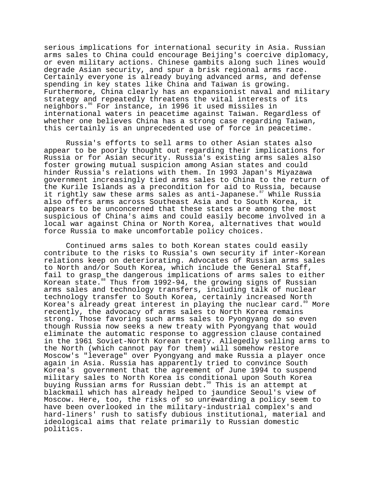serious implications for international security in Asia. Russian arms sales to China could encourage Beijing's coercive diplomacy, or even military actions. Chinese gambits along such lines would degrade Asian security, and spur a brisk regional arms race. Certainly everyone is already buying advanced arms, and defense spending in key states like China and Taiwan is growing. Furthermore, China clearly has an expansionist naval and military strategy and repeatedly threatens the vital interests of its neighbors.<sup>86</sup> For instance, in 1996 it used missiles in international waters in peacetime against Taiwan. Regardless of whether one believes China has a strong case regarding Taiwan, this certainly is an unprecedented use of force in peacetime.

Russia's efforts to sell arms to other Asian states also appear to be poorly thought out regarding their implications for Russia or for Asian security. Russia's existing arms sales also foster growing mutual suspicion among Asian states and could hinder Russia's relations with them. In 1993 Japan's Miyazawa government increasingly tied arms sales to China to the return of the Kurile Islands as a precondition for aid to Russia, because it rightly saw these arms sales as anti-Japanese.<sup>87</sup> While Russia also offers arms across Southeast Asia and to South Korea, it appears to be unconcerned that these states are among the most suspicious of China's aims and could easily become involved in a local war against China or North Korea, alternatives that would force Russia to make uncomfortable policy choices.

Continued arms sales to both Korean states could easily contribute to the risks to Russia's own security if inter-Korean relations keep on deteriorating. Advocates of Russian arms sales to North and/or South Korea, which include the General Staff, fail to grasp the dangerous implications of arms sales to either Korean state.<sup>88</sup> Thus from 1992-94, the growing signs of Russian arms sales and technology transfers, including talk of nuclear technology transfer to South Korea, certainly increased North Korea's already great interest in playing the nuclear card.<sup>89</sup> More recently, the advocacy of arms sales to North Korea remains strong. Those favoring such arms sales to Pyongyang do so even though Russia now seeks a new treaty with Pyongyang that would eliminate the automatic response to aggression clause contained in the 1961 Soviet-North Korean treaty. Allegedly selling arms to the North (which cannot pay for them) will somehow restore Moscow's "leverage" over Pyongyang and make Russia a player once again in Asia. Russia has apparently tried to convince South Korea's government that the agreement of June 1994 to suspend military sales to North Korea is conditional upon South Korea buying Russian arms for Russian debt.<sup>90</sup> This is an attempt at blackmail which has already helped to jaundice Seoul's view of Moscow. Here, too, the risks of so unrewarding a policy seem to have been overlooked in the military-industrial complex's and hard-liners' rush to satisfy dubious institutional, material and ideological aims that relate primarily to Russian domestic politics.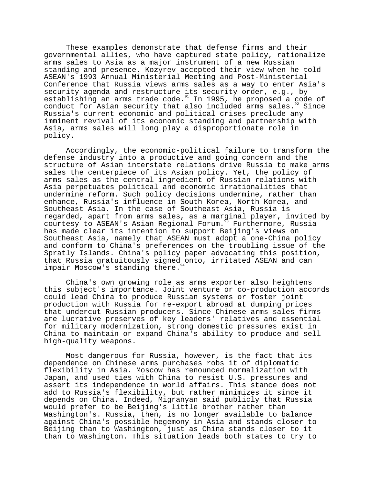These examples demonstrate that defense firms and their governmental allies, who have captured state policy, rationalize arms sales to Asia as a major instrument of a new Russian standing and presence. Kozyrev accepted their view when he told ASEAN's 1993 Annual Ministerial Meeting and Post-Ministerial Conference that Russia views arms sales as a way to enter Asia's security agenda and restructure its security order, e.g., by establishing an arms trade code.<sup>91</sup> In 1995, he proposed a code of conduct for Asian security that also included arms sales.<sup>92</sup> Since Russia's current economic and political crises preclude any imminent revival of its economic standing and partnership with Asia, arms sales will long play a disproportionate role in policy.

Accordingly, the economic-political failure to transform the defense industry into a productive and going concern and the structure of Asian interstate relations drive Russia to make arms sales the centerpiece of its Asian policy. Yet, the policy of arms sales as the central ingredient of Russian relations with Asia perpetuates political and economic irrationalities that undermine reform. Such policy decisions undermine, rather than enhance, Russia's influence in South Korea, North Korea, and Southeast Asia. In the case of Southeast Asia, Russia is regarded, apart from arms sales, as a marginal player, invited by courtesy to ASEAN's Asian Regional Forum.<sup>33</sup> Furthermore, Russia has made clear its intention to support Beijing's views on Southeast Asia, namely that ASEAN must adopt a one-China policy and conform to China's preferences on the troubling issue of the Spratly Islands. China's policy paper advocating this position, that Russia gratuitously signed onto, irritated ASEAN and can impair Moscow's standing there.<sup>94</sup>

China's own growing role as arms exporter also heightens this subject's importance. Joint venture or co-production accords could lead China to produce Russian systems or foster joint production with Russia for re-export abroad at dumping prices that undercut Russian producers. Since Chinese arms sales firms are lucrative preserves of key leaders' relatives and essential for military modernization, strong domestic pressures exist in China to maintain or expand China's ability to produce and sell high-quality weapons.

Most dangerous for Russia, however, is the fact that its dependence on Chinese arms purchases robs it of diplomatic flexibility in Asia. Moscow has renounced normalization with Japan, and used ties with China to resist U.S. pressures and assert its independence in world affairs. This stance does not add to Russia's flexibility, but rather minimizes it since it depends on China. Indeed, Migranyan said publicly that Russia would prefer to be Beijing's little brother rather than Washington's. Russia, then, is no longer available to balance against China's possible hegemony in Asia and stands closer to Beijing than to Washington, just as China stands closer to it than to Washington. This situation leads both states to try to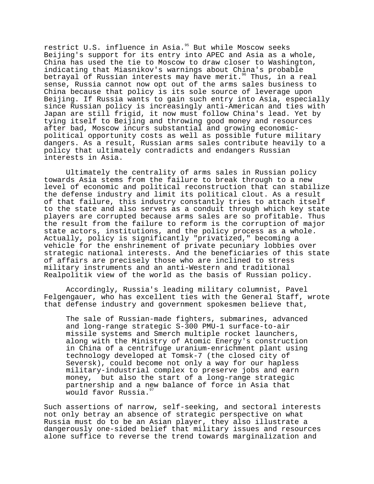restrict U.S. influence in Asia.<sup>95</sup> But while Moscow seeks Beijing's support for its entry into APEC and Asia as a whole, China has used the tie to Moscow to draw closer to Washington, indicating that Miasnikov's warnings about China's probable betrayal of Russian interests may have merit.<sup>96</sup> Thus, in a real sense, Russia cannot now opt out of the arms sales business to China because that policy is its sole source of leverage upon Beijing. If Russia wants to gain such entry into Asia, especially since Russian policy is increasingly anti-American and ties with Japan are still frigid, it now must follow China's lead. Yet by tying itself to Beijing and throwing good money and resources after bad, Moscow incurs substantial and growing economicpolitical opportunity costs as well as possible future military dangers. As a result, Russian arms sales contribute heavily to a policy that ultimately contradicts and endangers Russian interests in Asia.

Ultimately the centrality of arms sales in Russian policy towards Asia stems from the failure to break through to a new level of economic and political reconstruction that can stabilize the defense industry and limit its political clout. As a result of that failure, this industry constantly tries to attach itself to the state and also serves as a conduit through which key state players are corrupted because arms sales are so profitable. Thus the result from the failure to reform is the corruption of major state actors, institutions, and the policy process as a whole. Actually, policy is significantly "privatized," becoming a vehicle for the enshrinement of private pecuniary lobbies over strategic national interests. And the beneficiaries of this state of affairs are precisely those who are inclined to stress military instruments and an anti-Western and traditional Realpolitik view of the world as the basis of Russian policy.

Accordingly, Russia's leading military columnist, Pavel Felgengauer, who has excellent ties with the General Staff, wrote that defense industry and government spokesmen believe that,

The sale of Russian-made fighters, submarines, advanced and long-range strategic S-300 PMU-1 surface-to-air missile systems and Smerch multiple rocket launchers, along with the Ministry of Atomic Energy's construction in China of a centrifuge uranium-enrichment plant using technology developed at Tomsk-7 (the closed city of Seversk), could become not only a way for our hapless military-industrial complex to preserve jobs and earn money, but also the start of a long-range strategic partnership and a new balance of force in Asia that would favor Russia.<sup>9</sup>

Such assertions of narrow, self-seeking, and sectoral interests not only betray an absence of strategic perspective on what Russia must do to be an Asian player, they also illustrate a dangerously one-sided belief that military issues and resources alone suffice to reverse the trend towards marginalization and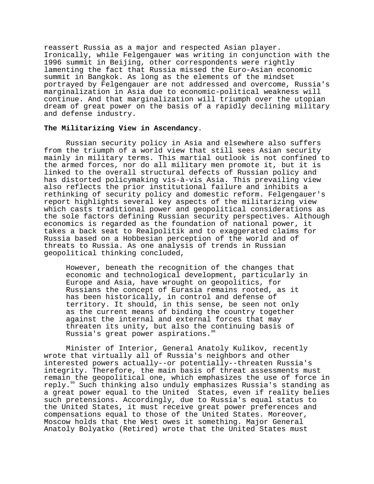reassert Russia as a major and respected Asian player. Ironically, while Felgengauer was writing in conjunction with the 1996 summit in Beijing, other correspondents were rightly lamenting the fact that Russia missed the Euro-Asian economic summit in Bangkok. As long as the elements of the mindset portrayed by Felgengauer are not addressed and overcome, Russia's marginalization in Asia due to economic-political weakness will continue. And that marginalization will triumph over the utopian dream of great power on the basis of a rapidly declining military and defense industry.

## **The Militarizing View in Ascendancy**.

Russian security policy in Asia and elsewhere also suffers from the triumph of a world view that still sees Asian security mainly in military terms. This martial outlook is not confined to the armed forces, nor do all military men promote it, but it is linked to the overall structural defects of Russian policy and has distorted policymaking vis-à-vis Asia. This prevailing view also reflects the prior institutional failure and inhibits a rethinking of security policy and domestic reform. Felgengauer's report highlights several key aspects of the militarizing view which casts traditional power and geopolitical considerations as the sole factors defining Russian security perspectives. Although economics is regarded as the foundation of national power, it takes a back seat to Realpolitik and to exaggerated claims for Russia based on a Hobbesian perception of the world and of threats to Russia. As one analysis of trends in Russian geopolitical thinking concluded,

However, beneath the recognition of the changes that economic and technological development, particularly in Europe and Asia, have wrought on geopolitics, for Russians the concept of Eurasia remains rooted, as it has been historically, in control and defense of territory. It should, in this sense, be seen not only as the current means of binding the country together against the internal and external forces that may threaten its unity, but also the continuing basis of Russia's great power aspirations.

Minister of Interior, General Anatoly Kulikov, recently wrote that virtually all of Russia's neighbors and other interested powers actually--or potentially--threaten Russia's integrity. Therefore, the main basis of threat assessments must remain the geopolitical one, which emphasizes the use of force in reply.99 Such thinking also unduly emphasizes Russia's standing as a great power equal to the United States, even if reality belies such pretensions. Accordingly, due to Russia's equal status to the United States, it must receive great power preferences and compensations equal to those of the United States. Moreover, Moscow holds that the West owes it something. Major General Anatoly Bolyatko (Retired) wrote that the United States must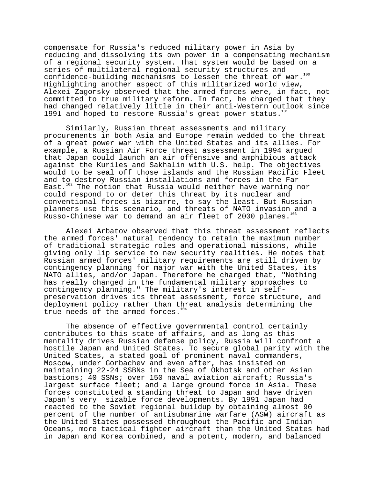compensate for Russia's reduced military power in Asia by reducing and dissolving its own power in a compensating mechanism of a regional security system. That system would be based on a series of multilateral regional security structures and confidence-building mechanisms to lessen the threat of war.<sup>100</sup> Highlighting another aspect of this militarized world view, Alexei Zagorsky observed that the armed forces were, in fact, not committed to true military reform. In fact, he charged that they had changed relatively little in their anti-Western outlook since 1991 and hoped to restore Russia's great power status.<sup>1</sup>

Similarly, Russian threat assessments and military procurements in both Asia and Europe remain wedded to the threat of a great power war with the United States and its allies. For example, a Russian Air Force threat assessment in 1994 argued that Japan could launch an air offensive and amphibious attack against the Kuriles and Sakhalin with U.S. help. The objectives would to be seal off those islands and the Russian Pacific Fleet and to destroy Russian installations and forces in the Far East. $102$  The notion that Russia would neither have warning nor could respond to or deter this threat by its nuclear and conventional forces is bizarre, to say the least. But Russian planners use this scenario, and threats of NATO invasion and a Russo-Chinese war to demand an air fleet of 2000 planes.<sup>103</sup>

Alexei Arbatov observed that this threat assessment reflects the armed forces' natural tendency to retain the maximum number of traditional strategic roles and operational missions, while giving only lip service to new security realities. He notes that Russian armed forces' military requirements are still driven by contingency planning for major war with the United States, its NATO allies, and/or Japan. Therefore he charged that, "Nothing has really changed in the fundamental military approaches to contingency planning." The military's interest in selfpreservation drives its threat assessment, force structure, and deployment policy rather than threat analysis determining the true needs of the armed forces. $10$ 

The absence of effective governmental control certainly contributes to this state of affairs, and as long as this mentality drives Russian defense policy, Russia will confront a hostile Japan and United States. To secure global parity with the United States, a stated goal of prominent naval commanders, Moscow, under Gorbachev and even after, has insisted on maintaining 22-24 SSBNs in the Sea of Okhotsk and other Asian bastions; 40 SSNs; over 150 naval aviation aircraft; Russia's largest surface fleet; and a large ground force in Asia. These forces constituted a standing threat to Japan and have driven Japan's very sizable force developments. By 1991 Japan had reacted to the Soviet regional buildup by obtaining almost 90 percent of the number of antisubmarine warfare (ASW) aircraft as the United States possessed throughout the Pacific and Indian Oceans, more tactical fighter aircraft than the United States had in Japan and Korea combined, and a potent, modern, and balanced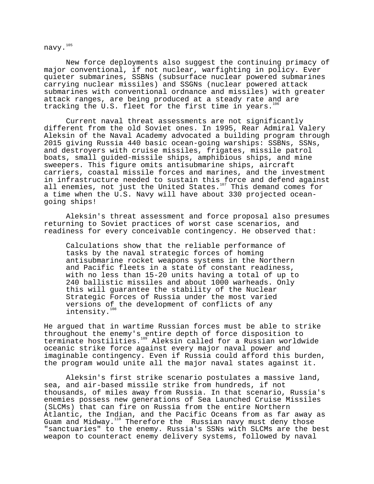navy.105

New force deployments also suggest the continuing primacy of major conventional, if not nuclear, warfighting in policy. Ever quieter submarines, SSBNs (subsurface nuclear powered submarines carrying nuclear missiles) and SSGNs (nuclear powered attack submarines with conventional ordnance and missiles) with greater attack ranges, are being produced at a steady rate and are tracking the U.S. fleet for the first time in years.<sup>10</sup>

Current naval threat assessments are not significantly different from the old Soviet ones. In 1995, Rear Admiral Valery Aleksin of the Naval Academy advocated a building program through 2015 giving Russia 440 basic ocean-going warships: SSBNs, SSNs, and destroyers with cruise missiles, frigates, missile patrol boats, small guided-missile ships, amphibious ships, and mine sweepers. This figure omits antisubmarine ships, aircraft carriers, coastal missile forces and marines, and the investment in infrastructure needed to sustain this force and defend against all enemies, not just the United States.<sup>107</sup> This demand comes for a time when the U.S. Navy will have about 330 projected oceangoing ships!

Aleksin's threat assessment and force proposal also presumes returning to Soviet practices of worst case scenarios, and readiness for every conceivable contingency. He observed that:

Calculations show that the reliable performance of tasks by the naval strategic forces of homing antisubmarine rocket weapons systems in the Northern and Pacific fleets in a state of constant readiness, with no less than 15-20 units having a total of up to 240 ballistic missiles and about 1000 warheads. Only this will guarantee the stability of the Nuclear Strategic Forces of Russia under the most varied versions of the development of conflicts of any intensity.<sup>108</sup>

He argued that in wartime Russian forces must be able to strike throughout the enemy's entire depth of force disposition to terminate hostilities.109 Aleksin called for a Russian worldwide oceanic strike force against every major naval power and imaginable contingency. Even if Russia could afford this burden, the program would unite all the major naval states against it.

Aleksin's first strike scenario postulates a massive land, sea, and air-based missile strike from hundreds, if not thousands, of miles away from Russia. In that scenario, Russia's enemies possess new generations of Sea Launched Cruise Missiles (SLCMs) that can fire on Russia from the entire Northern Atlantic, the Indian, and the Pacific Oceans from as far away as Guam and Midway.<sup>110</sup> Therefore the Russian navy must deny those "sanctuaries" to the enemy. Russia's SSNs with SLCMs are the best weapon to counteract enemy delivery systems, followed by naval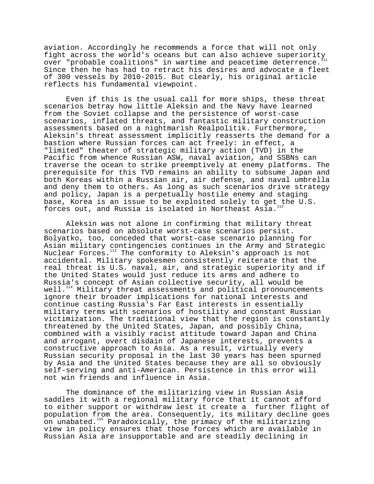aviation. Accordingly he recommends a force that will not only fight across the world's oceans but can also achieve superiority over "probable coalitions" in wartime and peacetime deterrence. Since then he has had to retract his desires and advocate a fleet of 300 vessels by 2010-2015. But clearly, his original article reflects his fundamental viewpoint.

Even if this is the usual call for more ships, these threat scenarios betray how little Aleksin and the Navy have learned from the Soviet collapse and the persistence of worst-case scenarios, inflated threats, and fantastic military construction assessments based on a nightmarish Realpolitik. Furthermore, Aleksin's threat assessment implicitly reasserts the demand for a bastion where Russian forces can act freely: in effect, a "limited" theater of strategic military action (TVD) in the Pacific from whence Russian ASW, naval aviation, and SSBNs can traverse the ocean to strike preemptively at enemy platforms. The prerequisite for this TVD remains an ability to subsume Japan and both Koreas within a Russian air, air defense, and naval umbrella and deny them to others. As long as such scenarios drive strategy and policy, Japan is a perpetually hostile enemy and staging base, Korea is an issue to be exploited solely to get the U.S. forces out, and Russia is isolated in Northeast Asia.

Aleksin was not alone in confirming that military threat scenarios based on absolute worst-case scenarios persist. Bolyatko, too, conceded that worst-case scenario planning for Asian military contingencies continues in the Army and Strategic Nuclear Forces.<sup>113</sup> The conformity to Aleksin's approach is not accidental. Military spokesmen consistently reiterate that the real threat is U.S. naval, air, and strategic superiority and if the United States would just reduce its arms and adhere to Russia's concept of Asian collective security, all would be  $well.<sup>114</sup>$  Military threat assessments and political pronouncements ignore their broader implications for national interests and continue casting Russia's Far East interests in essentially military terms with scenarios of hostility and constant Russian victimization. The traditional view that the region is constantly threatened by the United States, Japan, and possibly China, combined with a visibly racist attitude toward Japan and China and arrogant, overt disdain of Japanese interests, prevents a constructive approach to Asia. As a result, virtually every Russian security proposal in the last 30 years has been spurned by Asia and the United States because they are all so obviously self-serving and anti-American. Persistence in this error will not win friends and influence in Asia.

The dominance of the militarizing view in Russian Asia saddles it with a regional military force that it cannot afford to either support or withdraw lest it create a further flight of population from the area. Consequently, its military decline goes on unabated.<sup>115</sup> Paradoxically, the primacy of the militarizing view in policy ensures that those forces which are available in Russian Asia are insupportable and are steadily declining in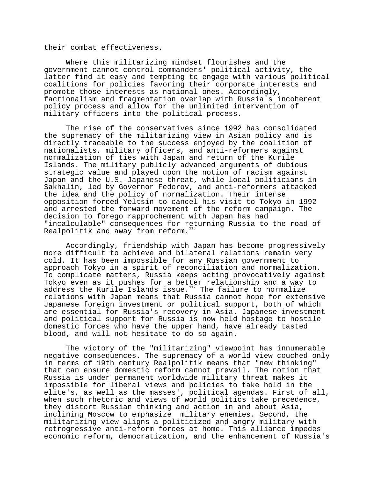their combat effectiveness.

Where this militarizing mindset flourishes and the government cannot control commanders' political activity, the latter find it easy and tempting to engage with various political coalitions for policies favoring their corporate interests and promote those interests as national ones. Accordingly, factionalism and fragmentation overlap with Russia's incoherent policy process and allow for the unlimited intervention of military officers into the political process.

The rise of the conservatives since 1992 has consolidated the supremacy of the militarizing view in Asian policy and is directly traceable to the success enjoyed by the coalition of nationalists, military officers, and anti-reformers against normalization of ties with Japan and return of the Kurile Islands. The military publicly advanced arguments of dubious strategic value and played upon the notion of racism against Japan and the U.S.-Japanese threat, while local politicians in Sakhalin, led by Governor Fedorov, and anti-reformers attacked the idea and the policy of normalization. Their intense opposition forced Yeltsin to cancel his visit to Tokyo in 1992 and arrested the forward movement of the reform campaign. The decision to forego rapprochement with Japan has had "incalculable" consequences for returning Russia to the road of Realpolitik and away from reform. $11$ 

Accordingly, friendship with Japan has become progressively more difficult to achieve and bilateral relations remain very cold. It has been impossible for any Russian government to approach Tokyo in a spirit of reconciliation and normalization. To complicate matters, Russia keeps acting provocatively against Tokyo even as it pushes for a better relationship and a way to address the Kurile Islands issue. $117$  The failure to normalize relations with Japan means that Russia cannot hope for extensive Japanese foreign investment or political support, both of which are essential for Russia's recovery in Asia. Japanese investment and political support for Russia is now held hostage to hostile domestic forces who have the upper hand, have already tasted blood, and will not hesitate to do so again.

The victory of the "militarizing" viewpoint has innumerable negative consequences. The supremacy of a world view couched only in terms of 19th century Realpolitik means that "new thinking" that can ensure domestic reform cannot prevail. The notion that Russia is under permanent worldwide military threat makes it impossible for liberal views and policies to take hold in the elite's, as well as the masses', political agendas. First of all, when such rhetoric and views of world politics take precedence, they distort Russian thinking and action in and about Asia, inclining Moscow to emphasize military enemies. Second, the militarizing view aligns a politicized and angry military with retrogressive anti-reform forces at home. This alliance impedes economic reform, democratization, and the enhancement of Russia's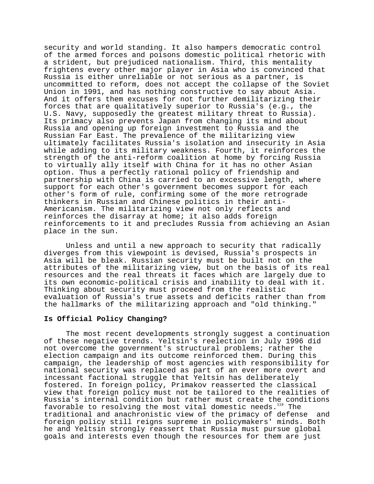security and world standing. It also hampers democratic control of the armed forces and poisons domestic political rhetoric with a strident, but prejudiced nationalism. Third, this mentality frightens every other major player in Asia who is convinced that Russia is either unreliable or not serious as a partner, is uncommitted to reform, does not accept the collapse of the Soviet Union in 1991, and has nothing constructive to say about Asia. And it offers them excuses for not further demilitarizing their forces that are qualitatively superior to Russia's (e.g., the U.S. Navy, supposedly the greatest military threat to Russia). Its primacy also prevents Japan from changing its mind about Russia and opening up foreign investment to Russia and the Russian Far East. The prevalence of the militarizing view ultimately facilitates Russia's isolation and insecurity in Asia while adding to its military weakness. Fourth, it reinforces the strength of the anti-reform coalition at home by forcing Russia to virtually ally itself with China for it has no other Asian option. Thus a perfectly rational policy of friendship and partnership with China is carried to an excessive length, where support for each other's government becomes support for each other's form of rule, confirming some of the more retrograde thinkers in Russian and Chinese politics in their anti-Americanism. The militarizing view not only reflects and reinforces the disarray at home; it also adds foreign reinforcements to it and precludes Russia from achieving an Asian place in the sun.

Unless and until a new approach to security that radically diverges from this viewpoint is devised, Russia's prospects in Asia will be bleak. Russian security must be built not on the attributes of the militarizing view, but on the basis of its real resources and the real threats it faces which are largely due to its own economic-political crisis and inability to deal with it. Thinking about security must proceed from the realistic evaluation of Russia's true assets and deficits rather than from the hallmarks of the militarizing approach and "old thinking."

## **Is Official Policy Changing?**

The most recent developments strongly suggest a continuation of these negative trends. Yeltsin's reelection in July 1996 did not overcome the government's structural problems; rather the election campaign and its outcome reinforced them. During this campaign, the leadership of most agencies with responsibility for national security was replaced as part of an ever more overt and incessant factional struggle that Yeltsin has deliberately fostered. In foreign policy, Primakov reasserted the classical view that foreign policy must not be tailored to the realities of Russia's internal condition but rather must create the conditions favorable to resolving the most vital domestic needs.<sup>118</sup> The traditional and anachronistic view of the primacy of defense and foreign policy still reigns supreme in policymakers' minds. Both he and Yeltsin strongly reassert that Russia must pursue global goals and interests even though the resources for them are just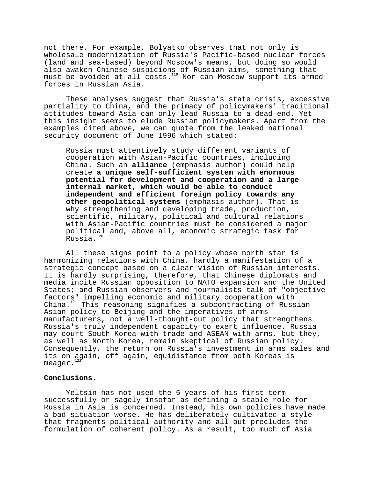not there. For example, Bolyatko observes that not only is wholesale modernization of Russia's Pacific-based nuclear forces (land and sea-based) beyond Moscow's means, but doing so would also awaken Chinese suspicions of Russian aims, something that must be avoided at all  $costs.^{^{119}}$  Nor can Moscow support its armed forces in Russian Asia.

These analyses suggest that Russia's state crisis, excessive partiality to China, and the primacy of policymakers' traditional attitudes toward Asia can only lead Russia to a dead end. Yet this insight seems to elude Russian policymakers. Apart from the examples cited above, we can quote from the leaked national security document of June 1996 which stated:

Russia must attentively study different variants of cooperation with Asian-Pacific countries, including China. Such an **alliance** (emphasis author) could help create **a unique self-sufficient system with enormous potential for development and cooperation and a large internal market, which would be able to conduct independent and efficient foreign policy towards any other geopolitical systems** (emphasis author). That is why strengthening and developing trade, production, scientific, military, political and cultural relations with Asian-Pacific countries must be considered a major political and, above all, economic strategic task for  $Russia.<sup>120</sup>$ 

All these signs point to a policy whose north star is harmonizing relations with China, hardly a manifestation of a strategic concept based on a clear vision of Russian interests. It is hardly surprising, therefore, that Chinese diplomats and media incite Russian opposition to NATO expansion and the United States; and Russian observers and journalists talk of "objective factors" impelling economic and military cooperation with China. $121$  This reasoning signifies a subcontracting of Russian Asian policy to Beijing and the imperatives of arms manufacturers, not a well-thought-out policy that strengthens Russia's truly independent capacity to exert influence. Russia may court South Korea with trade and ASEAN with arms, but they, as well as North Korea, remain skeptical of Russian policy. Consequently, the return on Russia's investment in arms sales and its on again, off again, equidistance from both Koreas is meager. $1$ 

## **Conclusions**.

Yeltsin has not used the 5 years of his first term successfully or sagely insofar as defining a stable role for Russia in Asia is concerned. Instead, his own policies have made a bad situation worse. He has deliberately cultivated a style that fragments political authority and all but precludes the formulation of coherent policy. As a result, too much of Asia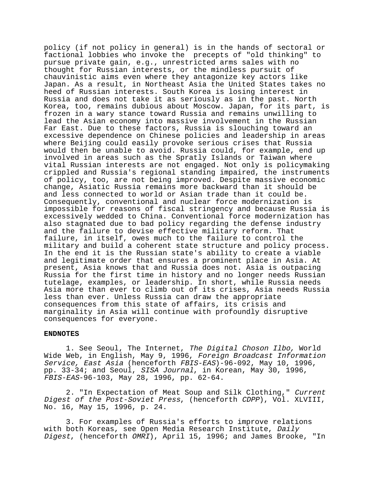policy (if not policy in general) is in the hands of sectoral or factional lobbies who invoke the precepts of "old thinking" to pursue private gain, e.g., unrestricted arms sales with no thought for Russian interests, or the mindless pursuit of chauvinistic aims even where they antagonize key actors like Japan. As a result, in Northeast Asia the United States takes no heed of Russian interests. South Korea is losing interest in Russia and does not take it as seriously as in the past. North Korea, too, remains dubious about Moscow. Japan, for its part, is frozen in a wary stance toward Russia and remains unwilling to lead the Asian economy into massive involvement in the Russian Far East. Due to these factors, Russia is slouching toward an excessive dependence on Chinese policies and leadership in areas where Beijing could easily provoke serious crises that Russia would then be unable to avoid. Russia could, for example, end up involved in areas such as the Spratly Islands or Taiwan where vital Russian interests are not engaged. Not only is policymaking crippled and Russia's regional standing impaired, the instruments of policy, too, are not being improved. Despite massive economic change, Asiatic Russia remains more backward than it should be and less connected to world or Asian trade than it could be. Consequently, conventional and nuclear force modernization is impossible for reasons of fiscal stringency and because Russia is excessively wedded to China. Conventional force modernization has also stagnated due to bad policy regarding the defense industry and the failure to devise effective military reform. That failure, in itself, owes much to the failure to control the military and build a coherent state structure and policy process. In the end it is the Russian state's ability to create a viable and legitimate order that ensures a prominent place in Asia. At present, Asia knows that and Russia does not. Asia is outpacing Russia for the first time in history and no longer needs Russian tutelage, examples, or leadership. In short, while Russia needs Asia more than ever to climb out of its crises, Asia needs Russia less than ever. Unless Russia can draw the appropriate consequences from this state of affairs, its crisis and marginality in Asia will continue with profoundly disruptive consequences for everyone.

#### **ENDNOTES**

1. See Seoul, The Internet, The Digital Choson Ilbo, World Wide Web, in English, May 9, 1996, Foreign Broadcast Information Service, East Asia (henceforth FBIS-EAS)-96-092, May 10, 1996, pp. 33-34; and Seoul, SISA Journal, in Korean, May 30, 1996, FBIS-EAS-96-103, May 28, 1996, pp. 62-64.

2. "In Expectation of Meat Soup and Silk Clothing," Current Digest of the Post-Soviet Press, (henceforth CDPP), Vol. XLVIII, No. 16, May 15, 1996, p. 24.

3. For examples of Russia's efforts to improve relations with both Koreas, see Open Media Research Institute, Daily Digest, (henceforth OMRI), April 15, 1996; and James Brooke, "In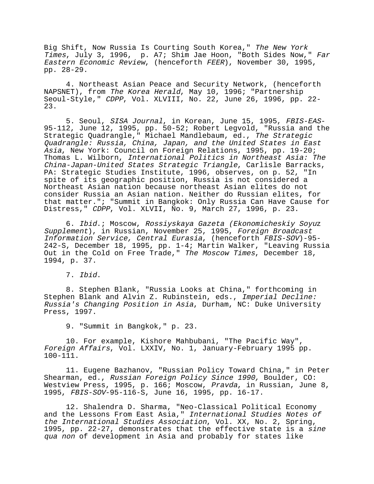Big Shift, Now Russia Is Courting South Korea," The New York Times, July 3, 1996, p. A7; Shim Jae Hoon, "Both Sides Now," Far Eastern Economic Review, (henceforth FEER), November 30, 1995, pp. 28-29.

4. Northeast Asian Peace and Security Network, (henceforth NAPSNET), from The Korea Herald, May 10, 1996; "Partnership Seoul-Style," CDPP, Vol. XLVIII, No. 22, June 26, 1996, pp. 22- 23.

5. Seoul, SISA Journal, in Korean, June 15, 1995, FBIS-EAS-95-112, June 12, 1995, pp. 50-52; Robert Legvold, "Russia and the Strategic Quadrangle," Michael Mandlebaum, ed., The Strategic Quadrangle: Russia, China, Japan, and the United States in East Asia, New York: Council on Foreign Relations, 1995, pp. 19-20; Thomas L. Wilborn, International Politics in Northeast Asia: The China-Japan-United States Strategic Triangle, Carlisle Barracks, PA: Strategic Studies Institute, 1996, observes, on p. 52, "In spite of its geographic position, Russia is not considered a Northeast Asian nation because northeast Asian elites do not consider Russia an Asian nation. Neither do Russian elites, for that matter."; "Summit in Bangkok: Only Russia Can Have Cause for Distress," CDPP, Vol. XLVII, No. 9, March 27, 1996, p. 23.

6. Ibid.; Moscow, Rossiyskaya Gazeta (Ekonomicheskiy Soyuz Supplement), in Russian, November 25, 1995, Foreign Broadcast Information Service, Central Eurasia, (henceforth FBIS-SOV)-95- 242-S, December 18, 1995, pp. 1-4; Martin Walker, "Leaving Russia Out in the Cold on Free Trade," The Moscow Times, December 18, 1994, p. 37.

7. Ibid.

8. Stephen Blank, "Russia Looks at China," forthcoming in Stephen Blank and Alvin Z. Rubinstein, eds., Imperial Decline: Russia's Changing Position in Asia, Durham, NC: Duke University Press, 1997.

9. "Summit in Bangkok," p. 23.

10. For example, Kishore Mahbubani, "The Pacific Way", Foreign Affairs, Vol. LXXIV, No. 1, January-February 1995 pp. 100-111.

11. Eugene Bazhanov, "Russian Policy Toward China," in Peter Shearman, ed., Russian Foreign Policy Since 1990, Boulder, CO: Westview Press, 1995, p. 166; Moscow, Pravda, in Russian, June 8, 1995, FBIS-SOV-95-116-S, June 16, 1995, pp. 16-17.

12. Shalendra D. Sharma, "Neo-Classical Political Economy and the Lessons From East Asia," International Studies Notes of the International Studies Association, Vol. XX, No. 2, Spring, 1995, pp. 22-27, demonstrates that the effective state is a sine qua non of development in Asia and probably for states like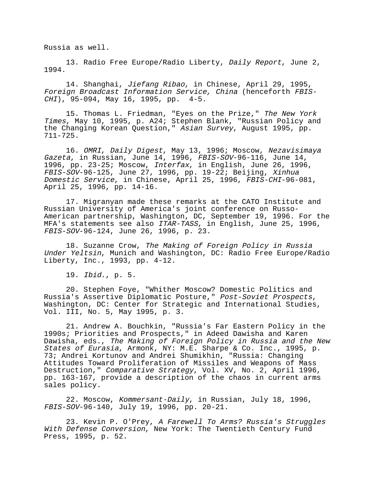Russia as well.

13. Radio Free Europe/Radio Liberty, Daily Report, June 2, 1994.

14. Shanghai, Jiefang Ribao, in Chinese, April 29, 1995, Foreign Broadcast Information Service, China (henceforth FBIS-CHI), 95-094, May 16, 1995, pp. 4-5.

15. Thomas L. Friedman, "Eyes on the Prize," The New York Times, May 10, 1995, p. A24; Stephen Blank, "Russian Policy and the Changing Korean Question," Asian Survey, August 1995, pp. 711-725.

16. OMRI, Daily Digest, May 13, 1996; Moscow, Nezavisimaya Gazeta, in Russian, June 14, 1996, FBIS-SOV-96-116, June 14, 1996, pp. 23-25; Moscow, Interfax, in English, June 26, 1996, FBIS-SOV-96-125, June 27, 1996, pp. 19-22; Beijing, Xinhua Domestic Service, in Chinese, April 25, 1996, FBIS-CHI-96-081, April 25, 1996, pp. 14-16.

17. Migranyan made these remarks at the CATO Institute and Russian University of America's joint conference on Russo-American partnership, Washington, DC, September 19, 1996. For the MFA's statements see also ITAR-TASS, in English, June 25, 1996, FBIS-SOV-96-124, June 26, 1996, p. 23.

18. Suzanne Crow, The Making of Foreign Policy in Russia Under Yeltsin, Munich and Washington, DC: Radio Free Europe/Radio Liberty, Inc., 1993, pp. 4-12.

19. Ibid., p. 5.

20. Stephen Foye, "Whither Moscow? Domestic Politics and Russia's Assertive Diplomatic Posture," Post-Soviet Prospects, Washington, DC: Center for Strategic and International Studies, Vol. III, No. 5, May 1995, p. 3.

21. Andrew A. Bouchkin, "Russia's Far Eastern Policy in the 1990s; Priorities and Prospects," in Adeed Dawisha and Karen Dawisha, eds., The Making of Foreign Policy in Russia and the New States of Eurasia, Armonk, NY: M.E. Sharpe & Co. Inc., 1995, p. 73; Andrei Kortunov and Andrei Shumikhin, "Russia: Changing Attitudes Toward Proliferation of Missiles and Weapons of Mass Destruction," Comparative Strategy, Vol. XV, No. 2, April 1996, pp. 163-167, provide a description of the chaos in current arms sales policy.

22. Moscow, Kommersant-Daily, in Russian, July 18, 1996, FBIS-SOV-96-140, July 19, 1996, pp. 20-21.

23. Kevin P. O'Prey, A Farewell To Arms? Russia's Struggles With Defense Conversion, New York: The Twentieth Century Fund Press, 1995, p. 52.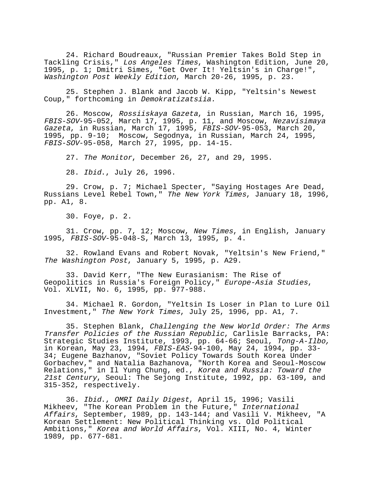24. Richard Boudreaux, "Russian Premier Takes Bold Step in Tackling Crisis," Los Angeles Times, Washington Edition, June 20, 1995, p. 1; Dmitri Simes, "Get Over It! Yeltsin's in Charge!", Washington Post Weekly Edition, March 20-26, 1995, p. 23.

25. Stephen J. Blank and Jacob W. Kipp, "Yeltsin's Newest Coup," forthcoming in Demokratizatsiia.

26. Moscow, Rossiiskaya Gazeta, in Russian, March 16, 1995, FBIS-SOV-95-052, March 17, 1995, p. 11, and Moscow, Nezavisimaya Gazeta, in Russian, March 17, 1995, FBIS-SOV-95-053, March 20, 1995, pp. 9-10; Moscow, Segodnya, in Russian, March 24, 1995, FBIS-SOV-95-058, March 27, 1995, pp. 14-15.

27. The Monitor, December 26, 27, and 29, 1995.

28. Ibid., July 26, 1996.

29. Crow, p. 7; Michael Specter, "Saying Hostages Are Dead, Russians Level Rebel Town," The New York Times, January 18, 1996, pp. A1, 8.

30. Foye, p. 2.

31. Crow, pp. 7, 12; Moscow, New Times, in English, January 1995, FBIS-SOV-95-048-S, March 13, 1995, p. 4.

32. Rowland Evans and Robert Novak, "Yeltsin's New Friend," The Washington Post, January 5, 1995, p. A29.

33. David Kerr, "The New Eurasianism: The Rise of Geopolitics in Russia's Foreign Policy," Europe-Asia Studies, Vol. XLVII, No. 6, 1995, pp. 977-988.

34. Michael R. Gordon, "Yeltsin Is Loser in Plan to Lure Oil Investment," The New York Times, July 25, 1996, pp. A1, 7.

35. Stephen Blank, Challenging the New World Order: The Arms Transfer Policies of the Russian Republic, Carlisle Barracks, PA: Strategic Studies Institute, 1993, pp. 64-66; Seoul, Tong-A-Ilbo, in Korean, May 23, 1994, FBIS-EAS-94-100, May 24, 1994, pp. 33- 34; Eugene Bazhanov, "Soviet Policy Towards South Korea Under Gorbachev," and Natalia Bazhanova, "North Korea and Seoul-Moscow Relations," in Il Yung Chung, ed., Korea and Russia: Toward the 21st Century, Seoul: The Sejong Institute, 1992, pp. 63-109, and 315-352, respectively.

36. Ibid., OMRI Daily Digest, April 15, 1996; Vasili Mikheev, "The Korean Problem in the Future," International Affairs, September, 1989, pp. 143-144; and Vasili V. Mikheev, "A Korean Settlement: New Political Thinking vs. Old Political Ambitions," Korea and World Affairs, Vol. XIII, No. 4, Winter 1989, pp. 677-681.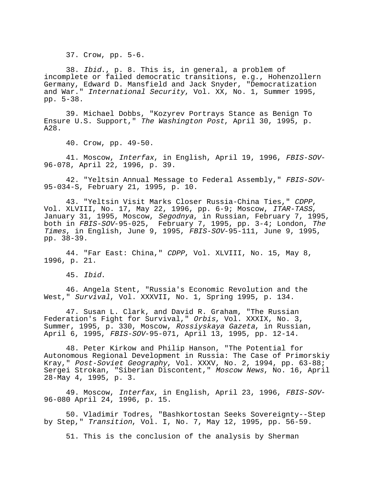37. Crow, pp. 5-6.

38. Ibid., p. 8. This is, in general, a problem of incomplete or failed democratic transitions, e.g., Hohenzollern Germany, Edward D. Mansfield and Jack Snyder, "Democratization and War." International Security, Vol. XX, No. 1, Summer 1995, pp. 5-38.

39. Michael Dobbs, "Kozyrev Portrays Stance as Benign To Ensure U.S. Support," The Washington Post, April 30, 1995, p. A28.

40. Crow, pp. 49-50.

41. Moscow, Interfax, in English, April 19, 1996, FBIS-SOV-96-078, April 22, 1996, p. 39.

42. "Yeltsin Annual Message to Federal Assembly," FBIS-SOV-95-034-S, February 21, 1995, p. 10.

43. "Yeltsin Visit Marks Closer Russia-China Ties," CDPP, Vol. XLVIII, No. 17, May 22, 1996, pp. 6-9; Moscow, ITAR-TASS, January 31, 1995, Moscow, Segodnya, in Russian, February 7, 1995, both in FBIS-SOV-95-025, February 7, 1995, pp. 3-4; London, The Times, in English, June 9, 1995, FBIS-SOV-95-111, June 9, 1995, pp. 38-39.

44. "Far East: China," CDPP, Vol. XLVIII, No. 15, May 8, 1996, p. 21.

45. Ibid.

46. Angela Stent, "Russia's Economic Revolution and the West," Survival, Vol. XXXVII, No. 1, Spring 1995, p. 134.

47. Susan L. Clark, and David R. Graham, "The Russian Federation's Fight for Survival," Orbis, Vol. XXXIX, No. 3, Summer, 1995, p. 330, Moscow, Rossiyskaya Gazeta, in Russian, April 6, 1995, FBIS-SOV-95-071, April 13, 1995, pp. 12-14.

48. Peter Kirkow and Philip Hanson, "The Potential for Autonomous Regional Development in Russia: The Case of Primorskiy Kray," Post-Soviet Geography, Vol. XXXV, No. 2, 1994, pp. 63-88; Sergei Strokan, "Siberian Discontent," Moscow News, No. 16, April 28-May 4, 1995, p. 3.

49. Moscow, Interfax, in English, April 23, 1996, FBIS-SOV- 96-080 April 24, 1996, p. 15.

50. Vladimir Todres, "Bashkortostan Seeks Sovereignty--Step by Step," Transition, Vol. I, No. 7, May 12, 1995, pp. 56-59.

51. This is the conclusion of the analysis by Sherman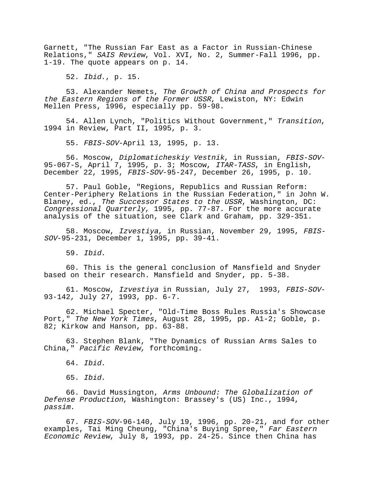Garnett, "The Russian Far East as a Factor in Russian-Chinese Relations," SAIS Review, Vol. XVI, No. 2, Summer-Fall 1996, pp. 1-19. The quote appears on p. 14.

52. Ibid., p. 15.

53. Alexander Nemets, The Growth of China and Prospects for the Eastern Regions of the Former USSR, Lewiston, NY: Edwin Mellen Press, 1996, especially pp. 59-98.

54. Allen Lynch, "Politics Without Government," Transition, 1994 in Review, Part II, 1995, p. 3.

55. FBIS-SOV-April 13, 1995, p. 13.

56. Moscow, Diplomaticheskiy Vestnik, in Russian, FBIS-SOV-95-067-S, April 7, 1995, p. 3; Moscow, ITAR-TASS, in English, December 22, 1995, FBIS-SOV-95-247, December 26, 1995, p. 10.

57. Paul Goble, "Regions, Republics and Russian Reform: Center-Periphery Relations in the Russian Federation," in John W. Blaney, ed., The Successor States to the USSR, Washington, DC: Congressional Quarterly, 1995, pp. 77-87. For the more accurate analysis of the situation, see Clark and Graham, pp. 329-351.

58. Moscow, Izvestiya, in Russian, November 29, 1995, FBIS-SOV-95-231, December 1, 1995, pp. 39-41.

59. Ibid.

60. This is the general conclusion of Mansfield and Snyder based on their research. Mansfield and Snyder, pp. 5-38.

61. Moscow, Izvestiya in Russian, July 27, 1993, FBIS-SOV-93-142, July 27, 1993, pp. 6-7.

62. Michael Specter, "Old-Time Boss Rules Russia's Showcase Port," The New York Times, August 28, 1995, pp. A1-2; Goble, p. 82; Kirkow and Hanson, pp. 63-88.

63. Stephen Blank, "The Dynamics of Russian Arms Sales to China," Pacific Review, forthcoming.

64. Ibid.

65. Ibid.

66. David Mussington, Arms Unbound: The Globalization of Defense Production, Washington: Brassey's (US) Inc., 1994, passim.

67. FBIS-SOV-96-140, July 19, 1996, pp. 20-21, and for other examples, Tai Ming Cheung, "China's Buying Spree," Far Eastern Economic Review, July 8, 1993, pp. 24-25. Since then China has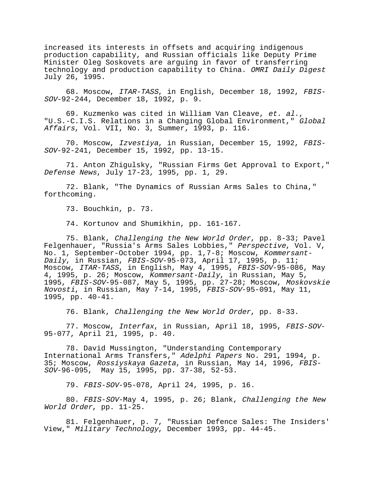increased its interests in offsets and acquiring indigenous production capability, and Russian officials like Deputy Prime Minister Oleg Soskovets are arguing in favor of transferring technology and production capability to China. OMRI Daily Digest July 26, 1995.

68. Moscow, ITAR-TASS, in English, December 18, 1992, FBIS-SOV-92-244, December 18, 1992, p. 9.

69. Kuzmenko was cited in William Van Cleave, et. al., "U.S.-C.I.S. Relations in a Changing Global Environment," Global Affairs, Vol. VII, No. 3, Summer, 1993, p. 116.

70. Moscow, Izvestiya, in Russian, December 15, 1992, FBIS-SOV-92-241, December 15, 1992, pp. 13-15.

71. Anton Zhigulsky, "Russian Firms Get Approval to Export," Defense News, July 17-23, 1995, pp. 1, 29.

72. Blank, "The Dynamics of Russian Arms Sales to China," forthcoming.

73. Bouchkin, p. 73.

74. Kortunov and Shumikhin, pp. 161-167.

75. Blank, Challenging the New World Order, pp. 8-33; Pavel Felgenhauer, "Russia's Arms Sales Lobbies," Perspective, Vol. V, No. 1, September-October 1994, pp. 1,7-8; Moscow, Kommersant-Daily, in Russian, FBIS-SOV-95-073, April 17, 1995, p. 11; Moscow, ITAR-TASS, in English, May 4, 1995, FBIS-SOV-95-086, May 4, 1995, p. 26; Moscow, Kommersant-Daily, in Russian, May 5, 1995, FBIS-SOV-95-087, May 5, 1995, pp. 27-28; Moscow, Moskovskie Novosti, in Russian, May 7-14, 1995, FBIS-SOV-95-091, May 11, 1995, pp. 40-41.

76. Blank, Challenging the New World Order, pp. 8-33.

77. Moscow, *Interfax*, in Russian, April 18, 1995, FBIS-SOV-<br>95-077, April 21, 1995, p. 40.

78. David Mussington, "Understanding Contemporary International Arms Transfers," Adelphi Papers No. 291, 1994, p. 35; Moscow, Rossiyskaya Gazeta, in Russian, May 14, 1996, FBIS-SOV-96-095, May 15, 1995, pp. 37-38, 52-53.

79. FBIS-SOV-95-078, April 24, 1995, p. 16.

80. FBIS-SOV-May 4, 1995, p. 26; Blank, Challenging the New World Order, pp. 11-25.

81. Felgenhauer, p. 7, "Russian Defence Sales: The Insiders' View," Military Technology, December 1993, pp. 44-45.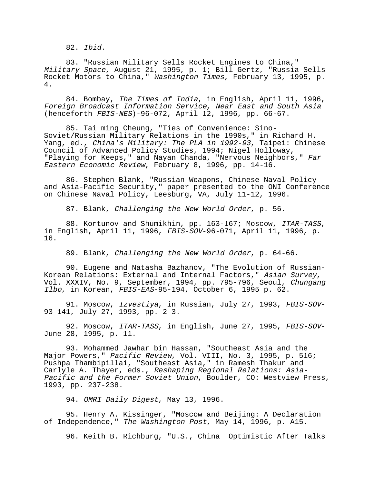82. Ibid.

83. "Russian Military Sells Rocket Engines to China," Military Space, August 21, 1995, p. 1; Bill Gertz, "Russia Sells Rocket Motors to China," Washington Times, February 13, 1995, p. 4.

84. Bombay, The Times of India, in English, April 11, 1996, Foreign Broadcast Information Service, Near East and South Asia (henceforth FBIS-NES)-96-072, April 12, 1996, pp. 66-67.

85. Tai ming Cheung, "Ties of Convenience: Sino-Soviet/Russian Military Relations in the 1990s," in Richard H. Yang, ed., China's Military: The PLA in 1992-93, Taipei: Chinese Council of Advanced Policy Studies, 1994; Nigel Holloway, "Playing for Keeps," and Nayan Chanda, "Nervous Neighbors," Far Eastern Economic Review, February 8, 1996, pp. 14-16.

86. Stephen Blank, "Russian Weapons, Chinese Naval Policy and Asia-Pacific Security," paper presented to the ONI Conference on Chinese Naval Policy, Leesburg, VA, July 11-12, 1996.

87. Blank, Challenging the New World Order, p. 56.

88. Kortunov and Shumikhin, pp. 163-167; Moscow, ITAR-TASS, in English, April 11, 1996, FBIS-SOV-96-071, April 11, 1996, p. 16.

89. Blank, Challenging the New World Order, p. 64-66.

90. Eugene and Natasha Bazhanov, "The Evolution of Russian-Korean Relations: External and Internal Factors," Asian Survey, Vol. XXXIV, No. 9, September, 1994, pp. 795-796, Seoul, Chungang Ilbo, in Korean, FBIS-EAS-95-194, October 6, 1995 p. 62.

91. Moscow, Izvestiya, in Russian, July 27, 1993, FBIS-SOV-93-141, July 27, 1993, pp. 2-3.

92. Moscow, *ITAR-TASS*, in English, June 27, 1995, FBIS-SOV-<br>June 28, 1995, p. 11.

93. Mohammed Jawhar bin Hassan, "Southeast Asia and the Major Powers," Pacific Review, Vol. VIII, No. 3, 1995, p. 516; Pushpa Thambipillai, "Southeast Asia," in Ramesh Thakur and Carlyle A. Thayer, eds., Reshaping Regional Relations: Asia-Pacific and the Former Soviet Union, Boulder, CO: Westview Press, 1993, pp. 237-238.

94. OMRI Daily Digest, May 13, 1996.

95. Henry A. Kissinger, "Moscow and Beijing: A Declaration of Independence," The Washington Post, May 14, 1996, p. A15.

96. Keith B. Richburg, "U.S., China Optimistic After Talks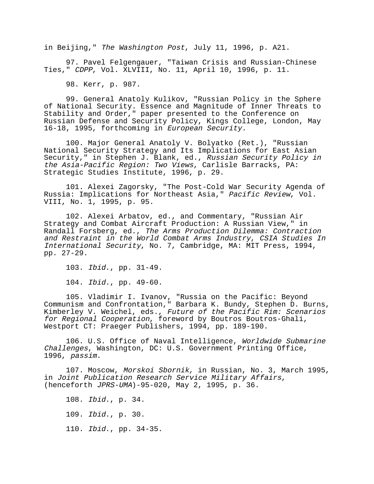in Beijing," The Washington Post, July 11, 1996, p. A21.

97. Pavel Felgengauer, "Taiwan Crisis and Russian-Chinese Ties," CDPP, Vol. XLVIII, No. 11, April 10, 1996, p. 11.

98. Kerr, p. 987.

99. General Anatoly Kulikov, "Russian Policy in the Sphere of National Security. Essence and Magnitude of Inner Threats to Stability and Order," paper presented to the Conference on Russian Defense and Security Policy, Kings College, London, May 16-18, 1995, forthcoming in European Security.

100. Major General Anatoly V. Bolyatko (Ret.), "Russian National Security Strategy and Its Implications for East Asian Security," in Stephen J. Blank, ed., Russian Security Policy in the Asia-Pacific Region: Two Views, Carlisle Barracks, PA: Strategic Studies Institute, 1996, p. 29.

101. Alexei Zagorsky, "The Post-Cold War Security Agenda of Russia: Implications for Northeast Asia," Pacific Review, Vol. VIII, No. 1, 1995, p. 95.

102. Alexei Arbatov, ed., and Commentary, "Russian Air Strategy and Combat Aircraft Production: A Russian View," in Randall Forsberg, ed., The Arms Production Dilemma: Contraction and Restraint in the World Combat Arms Industry, CSIA Studies In International Security, No. 7, Cambridge, MA: MIT Press, 1994, pp. 27-29.

103. Ibid., pp. 31-49.

104. Ibid., pp. 49-60.

105. Vladimir I. Ivanov, "Russia on the Pacific: Beyond Communism and Confrontation," Barbara K. Bundy, Stephen D. Burns, Kimberley V. Weichel, eds., Future of the Pacific Rim: Scenarios for Regional Cooperation, foreword by Boutros Boutros-Ghali, Westport CT: Praeger Publishers, 1994, pp. 189-190.

106. U.S. Office of Naval Intelligence, Worldwide Submarine Challenges, Washington, DC: U.S. Government Printing Office, 1996, passim.

107. Moscow, Morskoi Sbornik, in Russian, No. 3, March 1995, in Joint Publication Research Service Military Affairs, (henceforth JPRS-UMA)-95-020, May 2, 1995, p. 36.

108. Ibid., p. 34. 109. Ibid., p. 30. 110. Ibid., pp. 34-35.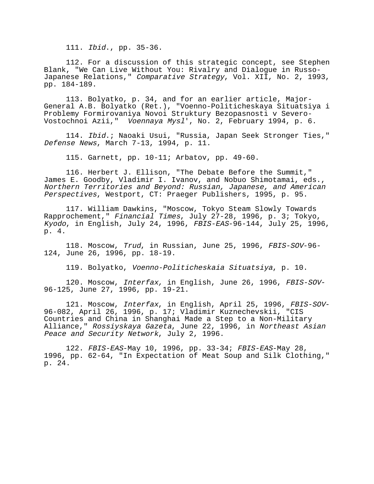111. Ibid., pp. 35-36.

112. For a discussion of this strategic concept, see Stephen Blank, "We Can Live Without You: Rivalry and Dialogue in Russo-Japanese Relations," Comparative Strategy, Vol. XII, No. 2, 1993, pp. 184-189.

113. Bolyatko, p. 34, and for an earlier article, Major-General A.B. Bolyatko (Ret.), "Voenno-Politicheskaya Situatsiya i Problemy Formirovaniya Novoi Struktury Bezopasnosti v Severo-Vostochnoi Azii," Voennaya Mysl', No. 2, February 1994, p. 6.

114. Ibid.; Naoaki Usui, "Russia, Japan Seek Stronger Ties," Defense News, March 7-13, 1994, p. 11.

115. Garnett, pp. 10-11; Arbatov, pp. 49-60.

116. Herbert J. Ellison, "The Debate Before the Summit," James E. Goodby, Vladimir I. Ivanov, and Nobuo Shimotamai, eds., Northern Territories and Beyond: Russian, Japanese, and American Perspectives, Westport, CT: Praeger Publishers, 1995, p. 95.

117. William Dawkins, "Moscow, Tokyo Steam Slowly Towards Rapprochement," Financial Times, July 27-28, 1996, p. 3; Tokyo, Kyodo, in English, July 24, 1996, FBIS-EAS-96-144, July 25, 1996, p. 4.

118. Moscow, Trud, in Russian, June 25, 1996, FBIS-SOV-96- 124, June 26, 1996, pp. 18-19.

119. Bolyatko, Voenno-Politicheskaia Situatsiya, p. 10.

120. Moscow, Interfax, in English, June 26, 1996, FBIS-SOV-96-125, June 27, 1996, pp. 19-21.

121. Moscow, Interfax, in English, April 25, 1996, FBIS-SOV-96-082, April 26, 1996, p. 17; Vladimir Kuznechevskii, "CIS Countries and China in Shanghai Made a Step to a Non-Military Alliance," Rossiyskaya Gazeta, June 22, 1996, in Northeast Asian Peace and Security Network, July 2, 1996.

122. FBIS-EAS-May 10, 1996, pp. 33-34; FBIS-EAS-May 28, 1996, pp. 62-64, "In Expectation of Meat Soup and Silk Clothing," p. 24.